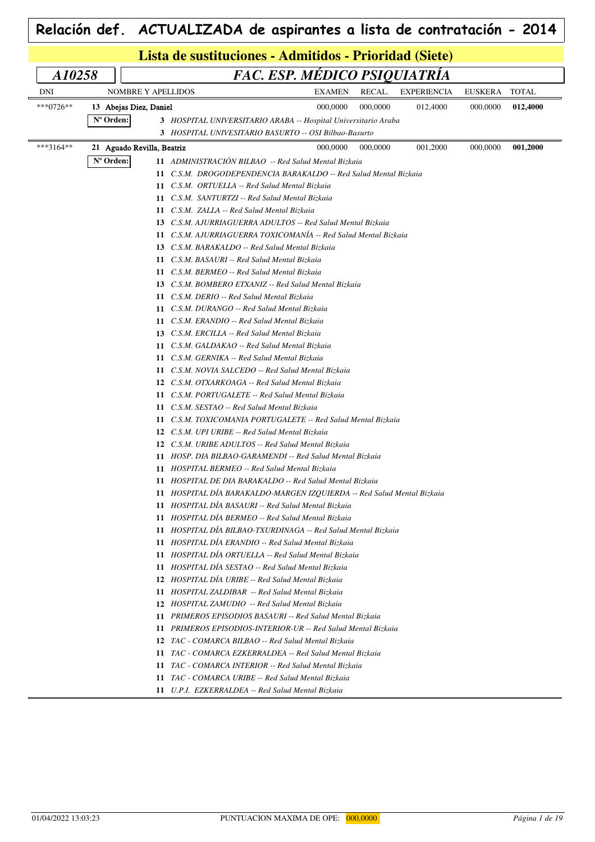| Lista de sustituciones - Admitidos - Prioridad (Siete) |                        |                            |                                                                        |               |          |                    |          |              |  |  |
|--------------------------------------------------------|------------------------|----------------------------|------------------------------------------------------------------------|---------------|----------|--------------------|----------|--------------|--|--|
| A10258                                                 |                        |                            | FAC. ESP. MÉDICO PSIQUIATRÍA                                           |               |          |                    |          |              |  |  |
| <b>DNI</b>                                             |                        | <b>NOMBRE Y APELLIDOS</b>  |                                                                        | <b>EXAMEN</b> | RECAL.   | <b>EXPERIENCIA</b> | EUSKERA  | <b>TOTAL</b> |  |  |
| ***0726**                                              | 13 Abejas Diez, Daniel |                            |                                                                        | 000,0000      | 000,0000 | 012,4000           | 000,0000 | 012,4000     |  |  |
|                                                        | N° Orden:              |                            | 3 HOSPITAL UNIVERSITARIO ARABA -- Hospital Universitario Araba         |               |          |                    |          |              |  |  |
|                                                        |                        |                            | 3 HOSPITAL UNIVESITARIO BASURTO -- OSI Bilbao-Basurto                  |               |          |                    |          |              |  |  |
| ***3164**                                              |                        | 21 Aguado Revilla, Beatriz |                                                                        | 000,0000      | 000,0000 | 001,2000           | 000,0000 | 001,2000     |  |  |
|                                                        | $No$ Orden:            |                            | 11 ADMINISTRACIÓN BILBAO -- Red Salud Mental Bizkaia                   |               |          |                    |          |              |  |  |
|                                                        |                        | 11                         | C.S.M. DROGODEPENDENCIA BARAKALDO -- Red Salud Mental Bizkaia          |               |          |                    |          |              |  |  |
|                                                        |                        |                            | 11 C.S.M. ORTUELLA -- Red Salud Mental Bizkaia                         |               |          |                    |          |              |  |  |
|                                                        |                        |                            | 11 C.S.M. SANTURTZI -- Red Salud Mental Bizkaia                        |               |          |                    |          |              |  |  |
|                                                        |                        |                            | 11 C.S.M. ZALLA -- Red Salud Mental Bizkaia                            |               |          |                    |          |              |  |  |
|                                                        |                        |                            | <b>13</b> C.S.M. AJURRIAGUERRA ADULTOS -- Red Salud Mental Bizkaia     |               |          |                    |          |              |  |  |
|                                                        |                        |                            | 11 C.S.M. AJURRIAGUERRA TOXICOMANIA -- Red Salud Mental Bizkaia        |               |          |                    |          |              |  |  |
|                                                        |                        |                            | 13 C.S.M. BARAKALDO -- Red Salud Mental Bizkaia                        |               |          |                    |          |              |  |  |
|                                                        |                        |                            | 11 C.S.M. BASAURI -- Red Salud Mental Bizkaia                          |               |          |                    |          |              |  |  |
|                                                        |                        |                            | 11 C.S.M. BERMEO -- Red Salud Mental Bizkaia                           |               |          |                    |          |              |  |  |
|                                                        |                        |                            | 13 C.S.M. BOMBERO ETXANIZ -- Red Salud Mental Bizkaia                  |               |          |                    |          |              |  |  |
|                                                        |                        |                            | 11 C.S.M. DERIO -- Red Salud Mental Bizkaia                            |               |          |                    |          |              |  |  |
|                                                        |                        |                            | 11 C.S.M. DURANGO -- Red Salud Mental Bizkaia                          |               |          |                    |          |              |  |  |
|                                                        |                        |                            | 11 C.S.M. ERANDIO -- Red Salud Mental Bizkaia                          |               |          |                    |          |              |  |  |
|                                                        |                        |                            | 13 C.S.M. ERCILLA -- Red Salud Mental Bizkaia                          |               |          |                    |          |              |  |  |
|                                                        |                        |                            | 11 C.S.M. GALDAKAO -- Red Salud Mental Bizkaia                         |               |          |                    |          |              |  |  |
|                                                        |                        |                            | 11 C.S.M. GERNIKA -- Red Salud Mental Bizkaia                          |               |          |                    |          |              |  |  |
|                                                        |                        |                            | 11 C.S.M. NOVIA SALCEDO -- Red Salud Mental Bizkaia                    |               |          |                    |          |              |  |  |
|                                                        |                        |                            | 12 C.S.M. OTXARKOAGA -- Red Salud Mental Bizkaia                       |               |          |                    |          |              |  |  |
|                                                        |                        |                            | 11 C.S.M. PORTUGALETE -- Red Salud Mental Bizkaia                      |               |          |                    |          |              |  |  |
|                                                        |                        | 11                         | C.S.M. SESTAO -- Red Salud Mental Bizkaia                              |               |          |                    |          |              |  |  |
|                                                        |                        | 11                         | C.S.M. TOXICOMANIA PORTUGALETE -- Red Salud Mental Bizkaia             |               |          |                    |          |              |  |  |
|                                                        |                        |                            | 12 C.S.M. UPI URIBE -- Red Salud Mental Bizkaia                        |               |          |                    |          |              |  |  |
|                                                        |                        |                            | 12 C.S.M. URIBE ADULTOS -- Red Salud Mental Bizkaia                    |               |          |                    |          |              |  |  |
|                                                        |                        |                            | 11 HOSP. DIA BILBAO-GARAMENDI -- Red Salud Mental Bizkaia              |               |          |                    |          |              |  |  |
|                                                        |                        |                            | 11 HOSPITAL BERMEO -- Red Salud Mental Bizkaia                         |               |          |                    |          |              |  |  |
|                                                        |                        |                            | 11 HOSPITAL DE DIA BARAKALDO -- Red Salud Mental Bizkaia               |               |          |                    |          |              |  |  |
|                                                        |                        |                            | 11 HOSPITAL DIA BARAKALDO-MARGEN IZOUIERDA -- Red Salud Mental Bizkaia |               |          |                    |          |              |  |  |
|                                                        |                        |                            | 11 HOSPITAL DÍA BASAURI -- Red Salud Mental Bizkaia                    |               |          |                    |          |              |  |  |
|                                                        |                        |                            | 11 HOSPITAL DÍA BERMEO -- Red Salud Mental Bizkaia                     |               |          |                    |          |              |  |  |
|                                                        |                        |                            | 11 HOSPITAL DÍA BILBAO-TXURDINAGA -- Red Salud Mental Bizkaia          |               |          |                    |          |              |  |  |
|                                                        |                        |                            | 11 HOSPITAL DÍA ERANDIO -- Red Salud Mental Bizkaia                    |               |          |                    |          |              |  |  |
|                                                        |                        |                            | 11 HOSPITAL DÍA ORTUELLA -- Red Salud Mental Bizkaia                   |               |          |                    |          |              |  |  |
|                                                        |                        |                            | 11 HOSPITAL DÍA SESTAO -- Red Salud Mental Bizkaia                     |               |          |                    |          |              |  |  |
|                                                        |                        |                            | 12 HOSPITAL DÍA URIBE -- Red Salud Mental Bizkaia                      |               |          |                    |          |              |  |  |
|                                                        |                        |                            | 11 HOSPITAL ZALDIBAR -- Red Salud Mental Bizkaia                       |               |          |                    |          |              |  |  |
|                                                        |                        |                            | 12 HOSPITAL ZAMUDIO -- Red Salud Mental Bizkaia                        |               |          |                    |          |              |  |  |
|                                                        |                        |                            | 11 PRIMEROS EPISODIOS BASAURI -- Red Salud Mental Bizkaia              |               |          |                    |          |              |  |  |
|                                                        |                        |                            | 11 PRIMEROS EPISODIOS-INTERIOR-UR -- Red Salud Mental Bizkaia          |               |          |                    |          |              |  |  |
|                                                        |                        |                            | 12 TAC - COMARCA BILBAO -- Red Salud Mental Bizkaia                    |               |          |                    |          |              |  |  |
|                                                        |                        |                            | 11 TAC - COMARCA EZKERRALDEA -- Red Salud Mental Bizkaia               |               |          |                    |          |              |  |  |
|                                                        |                        |                            | 11 TAC - COMARCA INTERIOR -- Red Salud Mental Bizkaia                  |               |          |                    |          |              |  |  |
|                                                        |                        |                            | 11 TAC - COMARCA URIBE -- Red Salud Mental Bizkaia                     |               |          |                    |          |              |  |  |
|                                                        |                        |                            | 11 U.P.I. EZKERRALDEA -- Red Salud Mental Bizkaia                      |               |          |                    |          |              |  |  |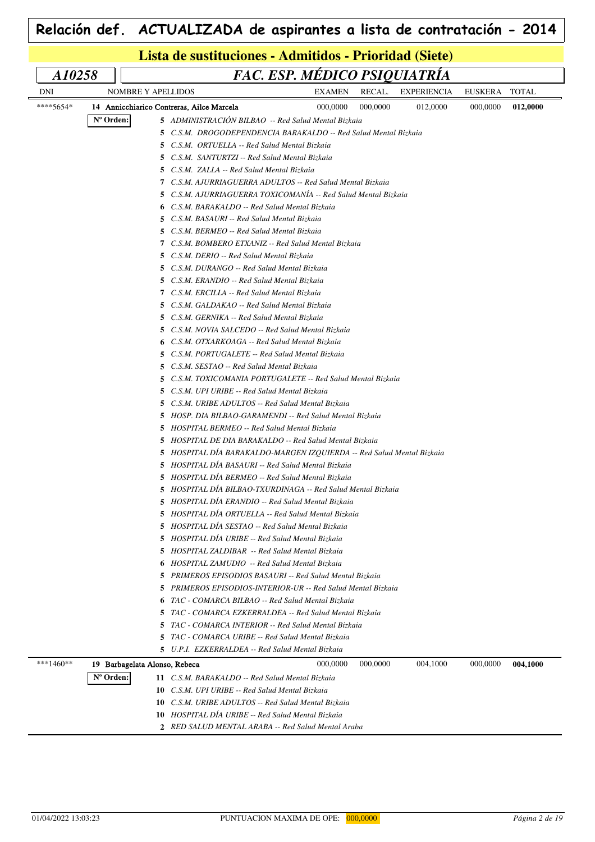| FAC. ESP. MÉDICO PSIQUIATRÍA<br>A10258 |                               |                                                                                                                                     |               |          |                    |          |              |  |  |  |
|----------------------------------------|-------------------------------|-------------------------------------------------------------------------------------------------------------------------------------|---------------|----------|--------------------|----------|--------------|--|--|--|
| <b>DNI</b>                             | NOMBRE Y APELLIDOS            |                                                                                                                                     | <b>EXAMEN</b> | RECAL.   | <b>EXPERIENCIA</b> | EUSKERA  | <b>TOTAL</b> |  |  |  |
| ****5654*                              |                               |                                                                                                                                     | 000,0000      |          |                    |          |              |  |  |  |
|                                        |                               | 14 Annicchiarico Contreras, Ailce Marcela                                                                                           |               | 000,0000 | 012,0000           | 000,0000 | 012,0000     |  |  |  |
|                                        | Nº Orden:                     | 5 ADMINISTRACIÓN BILBAO -- Red Salud Mental Bizkaia                                                                                 |               |          |                    |          |              |  |  |  |
|                                        |                               | 5 C.S.M. DROGODEPENDENCIA BARAKALDO -- Red Salud Mental Bizkaia                                                                     |               |          |                    |          |              |  |  |  |
|                                        |                               | <b>5</b> C.S.M. ORTUELLA -- Red Salud Mental Bizkaia                                                                                |               |          |                    |          |              |  |  |  |
|                                        | 5.                            | C.S.M. SANTURTZI -- Red Salud Mental Bizkaia                                                                                        |               |          |                    |          |              |  |  |  |
|                                        |                               | <b>5</b> C.S.M. ZALLA -- Red Salud Mental Bizkaia                                                                                   |               |          |                    |          |              |  |  |  |
|                                        |                               | 7 C.S.M. AJURRIAGUERRA ADULTOS -- Red Salud Mental Bizkaia<br><b>5</b> C.S.M. AJURRIAGUERRA TOXICOMANIA -- Red Salud Mental Bizkaia |               |          |                    |          |              |  |  |  |
|                                        |                               | 6 C.S.M. BARAKALDO -- Red Salud Mental Bizkaia                                                                                      |               |          |                    |          |              |  |  |  |
|                                        |                               | <b>5</b> C.S.M. BASAURI -- Red Salud Mental Bizkaia                                                                                 |               |          |                    |          |              |  |  |  |
|                                        |                               | <b>5</b> C.S.M. BERMEO -- Red Salud Mental Bizkaia                                                                                  |               |          |                    |          |              |  |  |  |
|                                        |                               | 7 C.S.M. BOMBERO ETXANIZ -- Red Salud Mental Bizkaia                                                                                |               |          |                    |          |              |  |  |  |
|                                        |                               | 5 C.S.M. DERIO -- Red Salud Mental Bizkaia                                                                                          |               |          |                    |          |              |  |  |  |
|                                        |                               | <b>5</b> C.S.M. DURANGO -- Red Salud Mental Bizkaia                                                                                 |               |          |                    |          |              |  |  |  |
|                                        |                               | 5 C.S.M. ERANDIO -- Red Salud Mental Bizkaia                                                                                        |               |          |                    |          |              |  |  |  |
|                                        |                               | 7 C.S.M. ERCILLA -- Red Salud Mental Bizkaia                                                                                        |               |          |                    |          |              |  |  |  |
|                                        |                               | <b>5</b> C.S.M. GALDAKAO -- Red Salud Mental Bizkaia                                                                                |               |          |                    |          |              |  |  |  |
|                                        |                               | <b>5</b> C.S.M. GERNIKA -- Red Salud Mental Bizkaia                                                                                 |               |          |                    |          |              |  |  |  |
|                                        |                               | <b>5</b> C.S.M. NOVIA SALCEDO -- Red Salud Mental Bizkaia                                                                           |               |          |                    |          |              |  |  |  |
|                                        |                               | <b>6</b> C.S.M. OTXARKOAGA -- Red Salud Mental Bizkaia                                                                              |               |          |                    |          |              |  |  |  |
|                                        | 5.                            | C.S.M. PORTUGALETE -- Red Salud Mental Bizkaia                                                                                      |               |          |                    |          |              |  |  |  |
|                                        | 5                             | C.S.M. SESTAO -- Red Salud Mental Bizkaia                                                                                           |               |          |                    |          |              |  |  |  |
|                                        | 5                             | C.S.M. TOXICOMANIA PORTUGALETE -- Red Salud Mental Bizkaia                                                                          |               |          |                    |          |              |  |  |  |
|                                        |                               |                                                                                                                                     |               |          |                    |          |              |  |  |  |
|                                        | 5                             | C.S.M. UPI URIBE -- Red Salud Mental Bizkaia                                                                                        |               |          |                    |          |              |  |  |  |
|                                        |                               | <b>5</b> C.S.M. URIBE ADULTOS -- Red Salud Mental Bizkaia<br><b>5</b> HOSP. DIA BILBAO-GARAMENDI -- Red Salud Mental Bizkaia        |               |          |                    |          |              |  |  |  |
|                                        |                               | <b>5</b> HOSPITAL BERMEO -- Red Salud Mental Bizkaia                                                                                |               |          |                    |          |              |  |  |  |
|                                        |                               |                                                                                                                                     |               |          |                    |          |              |  |  |  |
|                                        |                               | <b>5</b> HOSPITAL DE DIA BARAKALDO -- Red Salud Mental Bizkaia                                                                      |               |          |                    |          |              |  |  |  |
|                                        |                               | 5 HOSPITAL DIA BARAKALDO-MARGEN IZQUIERDA -- Red Salud Mental Bizkaia<br>5 HOSPITAL DIA BASAURI -- Red Salud Mental Bizkaia         |               |          |                    |          |              |  |  |  |
|                                        |                               | 5 HOSPITAL DÍA BERMEO -- Red Salud Mental Bizkaia                                                                                   |               |          |                    |          |              |  |  |  |
|                                        |                               |                                                                                                                                     |               |          |                    |          |              |  |  |  |
|                                        |                               | <b>5</b> HOSPITAL DIA BILBAO-TXURDINAGA -- Red Salud Mental Bizkaia                                                                 |               |          |                    |          |              |  |  |  |
|                                        |                               | 5 HOSPITAL DIA ERANDIO -- Red Salud Mental Bizkaia                                                                                  |               |          |                    |          |              |  |  |  |
|                                        |                               | 5 HOSPITAL DÍA ORTUELLA -- Red Salud Mental Bizkaia                                                                                 |               |          |                    |          |              |  |  |  |
|                                        |                               | 5 HOSPITAL DÍA SESTAO -- Red Salud Mental Bizkaia<br>5 HOSPITAL DÍA URIBE -- Red Salud Mental Bizkaia                               |               |          |                    |          |              |  |  |  |
|                                        |                               |                                                                                                                                     |               |          |                    |          |              |  |  |  |
|                                        |                               | 5 HOSPITAL ZALDIBAR -- Red Salud Mental Bizkaia                                                                                     |               |          |                    |          |              |  |  |  |
|                                        |                               | <b>6</b> HOSPITAL ZAMUDIO -- Red Salud Mental Bizkaia                                                                               |               |          |                    |          |              |  |  |  |
|                                        | 5.                            | PRIMEROS EPISODIOS BASAURI -- Red Salud Mental Bizkaia                                                                              |               |          |                    |          |              |  |  |  |
|                                        |                               | <b>5</b> PRIMEROS EPISODIOS-INTERIOR-UR -- Red Salud Mental Bizkaia                                                                 |               |          |                    |          |              |  |  |  |
|                                        |                               | 6 TAC - COMARCA BILBAO -- Red Salud Mental Bizkaia                                                                                  |               |          |                    |          |              |  |  |  |
|                                        | 5                             | TAC - COMARCA EZKERRALDEA -- Red Salud Mental Bizkaia                                                                               |               |          |                    |          |              |  |  |  |
|                                        | 5.                            | TAC - COMARCA INTERIOR -- Red Salud Mental Bizkaia                                                                                  |               |          |                    |          |              |  |  |  |
|                                        | 5                             | TAC - COMARCA URIBE -- Red Salud Mental Bizkaia                                                                                     |               |          |                    |          |              |  |  |  |
|                                        |                               | 5 U.P.I. EZKERRALDEA -- Red Salud Mental Bizkaia                                                                                    |               |          |                    |          |              |  |  |  |
| ***1460**                              | 19 Barbagelata Alonso, Rebeca |                                                                                                                                     | 000,0000      | 000,0000 | 004,1000           | 000,0000 | 004,1000     |  |  |  |
|                                        | N° Orden:                     | 11 C.S.M. BARAKALDO -- Red Salud Mental Bizkaia                                                                                     |               |          |                    |          |              |  |  |  |
|                                        |                               | <b>10</b> C.S.M. UPI URIBE -- Red Salud Mental Bizkaia                                                                              |               |          |                    |          |              |  |  |  |
|                                        | 10                            | C.S.M. URIBE ADULTOS -- Red Salud Mental Bizkaia                                                                                    |               |          |                    |          |              |  |  |  |
|                                        |                               | <b>10</b> HOSPITAL DIA URIBE -- Red Salud Mental Bizkaia                                                                            |               |          |                    |          |              |  |  |  |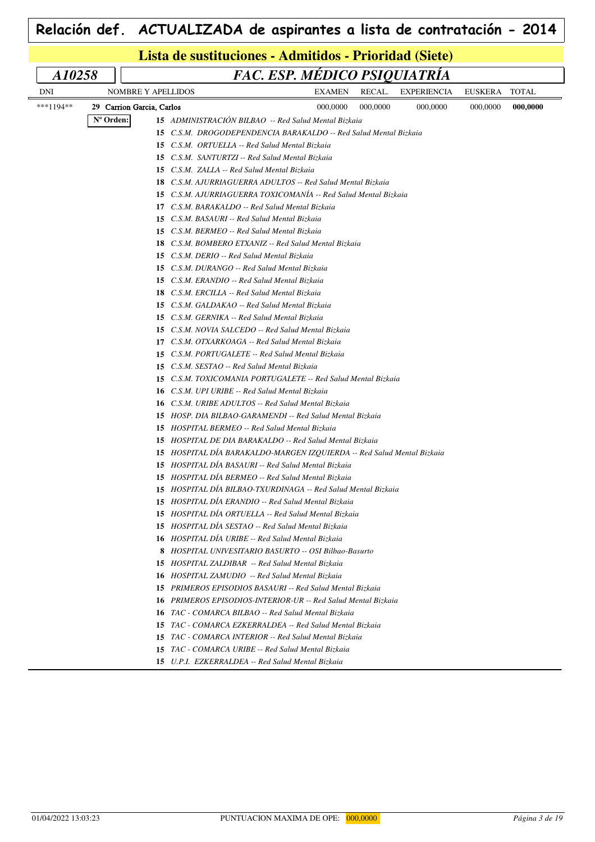|           |           |                           | Lista de sustituciones - Admitidos - Prioridad (Siete)                                           |               |          |                    |                |              |  |  |  |
|-----------|-----------|---------------------------|--------------------------------------------------------------------------------------------------|---------------|----------|--------------------|----------------|--------------|--|--|--|
| A10258    |           |                           | FAC. ESP. MÉDICO PSIQUIATRÍA                                                                     |               |          |                    |                |              |  |  |  |
| DNI       |           | <b>NOMBRE Y APELLIDOS</b> |                                                                                                  | <b>EXAMEN</b> | RECAL.   | <b>EXPERIENCIA</b> | <b>EUSKERA</b> | <b>TOTAL</b> |  |  |  |
| ***1194** |           | 29 Carrion Garcia, Carlos |                                                                                                  | 000,0000      | 000,0000 | 000,0000           | 000,0000       | 000.0000     |  |  |  |
|           | N° Orden: |                           | 15 ADMINISTRACIÓN BILBAO -- Red Salud Mental Bizkaia                                             |               |          |                    |                |              |  |  |  |
|           |           |                           | <b>15</b> C.S.M. DROGODEPENDENCIA BARAKALDO -- Red Salud Mental Bizkaia                          |               |          |                    |                |              |  |  |  |
|           |           |                           | 15 C.S.M. ORTUELLA -- Red Salud Mental Bizkaia                                                   |               |          |                    |                |              |  |  |  |
|           |           | 15                        | C.S.M. SANTURTZI -- Red Salud Mental Bizkaia                                                     |               |          |                    |                |              |  |  |  |
|           |           |                           | 15 C.S.M. ZALLA -- Red Salud Mental Bizkaia                                                      |               |          |                    |                |              |  |  |  |
|           |           | 18                        | C.S.M. AJURRIAGUERRA ADULTOS -- Red Salud Mental Bizkaia                                         |               |          |                    |                |              |  |  |  |
|           |           |                           | 15 C.S.M. AJURRIAGUERRA TOXICOMANÍA -- Red Salud Mental Bizkaia                                  |               |          |                    |                |              |  |  |  |
|           |           | 17                        | C.S.M. BARAKALDO -- Red Salud Mental Bizkaia                                                     |               |          |                    |                |              |  |  |  |
|           |           | 15                        | C.S.M. BASAURI -- Red Salud Mental Bizkaia                                                       |               |          |                    |                |              |  |  |  |
|           |           | 15                        | C.S.M. BERMEO -- Red Salud Mental Bizkaia                                                        |               |          |                    |                |              |  |  |  |
|           |           | 18                        | C.S.M. BOMBERO ETXANIZ -- Red Salud Mental Bizkaia                                               |               |          |                    |                |              |  |  |  |
|           |           | 15                        | C.S.M. DERIO -- Red Salud Mental Bizkaia                                                         |               |          |                    |                |              |  |  |  |
|           |           | 15                        | C.S.M. DURANGO -- Red Salud Mental Bizkaia                                                       |               |          |                    |                |              |  |  |  |
|           |           | 15                        | C.S.M. ERANDIO -- Red Salud Mental Bizkaia                                                       |               |          |                    |                |              |  |  |  |
|           |           | 18                        | C.S.M. ERCILLA -- Red Salud Mental Bizkaia                                                       |               |          |                    |                |              |  |  |  |
|           |           | 15                        | C.S.M. GALDAKAO -- Red Salud Mental Bizkaia                                                      |               |          |                    |                |              |  |  |  |
|           |           | 15                        | C.S.M. GERNIKA -- Red Salud Mental Bizkaia                                                       |               |          |                    |                |              |  |  |  |
|           |           | 15                        | C.S.M. NOVIA SALCEDO -- Red Salud Mental Bizkaia                                                 |               |          |                    |                |              |  |  |  |
|           |           | 17                        | C.S.M. OTXARKOAGA -- Red Salud Mental Bizkaia                                                    |               |          |                    |                |              |  |  |  |
|           |           | 15                        | C.S.M. PORTUGALETE -- Red Salud Mental Bizkaia                                                   |               |          |                    |                |              |  |  |  |
|           |           | 15                        | C.S.M. SESTAO -- Red Salud Mental Bizkaia                                                        |               |          |                    |                |              |  |  |  |
|           |           | 15                        | C.S.M. TOXICOMANIA PORTUGALETE -- Red Salud Mental Bizkaia                                       |               |          |                    |                |              |  |  |  |
|           |           | 16                        | C.S.M. UPI URIBE -- Red Salud Mental Bizkaia<br>C.S.M. URIBE ADULTOS -- Red Salud Mental Bizkaia |               |          |                    |                |              |  |  |  |
|           |           | 16<br>15                  | HOSP. DIA BILBAO-GARAMENDI -- Red Salud Mental Bizkaia                                           |               |          |                    |                |              |  |  |  |
|           |           | 15                        | HOSPITAL BERMEO -- Red Salud Mental Bizkaia                                                      |               |          |                    |                |              |  |  |  |
|           |           |                           | <b>15</b> HOSPITAL DE DIA BARAKALDO -- Red Salud Mental Bizkaia                                  |               |          |                    |                |              |  |  |  |
|           |           |                           | 15 HOSPITAL DÍA BARAKALDO-MARGEN IZOUIERDA -- Red Salud Mental Bizkaia                           |               |          |                    |                |              |  |  |  |
|           |           |                           | 15 HOSPITAL DIA BASAURI -- Red Salud Mental Bizkaia                                              |               |          |                    |                |              |  |  |  |
|           |           |                           | 15 HOSPITAL DIA BERMEO -- Red Salud Mental Bizkaia                                               |               |          |                    |                |              |  |  |  |
|           |           |                           | 15 HOSPITAL DIA BILBAO-TXURDINAGA -- Red Salud Mental Bizkaia                                    |               |          |                    |                |              |  |  |  |
|           |           |                           | 15 HOSPITAL DÍA ERANDIO -- Red Salud Mental Bizkaia                                              |               |          |                    |                |              |  |  |  |
|           |           |                           | 15 HOSPITAL DÍA ORTUELLA -- Red Salud Mental Bizkaia                                             |               |          |                    |                |              |  |  |  |
|           |           |                           | 15 HOSPITAL DÍA SESTAO -- Red Salud Mental Bizkaia                                               |               |          |                    |                |              |  |  |  |
|           |           |                           | 16 HOSPITAL DÍA URIBE -- Red Salud Mental Bizkaia                                                |               |          |                    |                |              |  |  |  |
|           |           | 8                         | HOSPITAL UNIVESITARIO BASURTO -- OSI Bilbao-Basurto                                              |               |          |                    |                |              |  |  |  |
|           |           |                           | <b>15</b> HOSPITAL ZALDIBAR -- Red Salud Mental Bizkaia                                          |               |          |                    |                |              |  |  |  |
|           |           |                           | <b>16</b> HOSPITAL ZAMUDIO -- Red Salud Mental Bizkaia                                           |               |          |                    |                |              |  |  |  |
|           |           | 15                        | PRIMEROS EPISODIOS BASAURI -- Red Salud Mental Bizkaia                                           |               |          |                    |                |              |  |  |  |
|           |           | 16                        | PRIMEROS EPISODIOS-INTERIOR-UR -- Red Salud Mental Bizkaia                                       |               |          |                    |                |              |  |  |  |
|           |           | 16                        | TAC - COMARCA BILBAO -- Red Salud Mental Bizkaia                                                 |               |          |                    |                |              |  |  |  |
|           |           | 15                        | TAC - COMARCA EZKERRALDEA -- Red Salud Mental Bizkaia                                            |               |          |                    |                |              |  |  |  |
|           |           | 15                        | TAC - COMARCA INTERIOR -- Red Salud Mental Bizkaia                                               |               |          |                    |                |              |  |  |  |
|           |           |                           | 15 TAC - COMARCA URIBE -- Red Salud Mental Bizkaia                                               |               |          |                    |                |              |  |  |  |
|           |           |                           | 15 U.P.I. EZKERRALDEA -- Red Salud Mental Bizkaia                                                |               |          |                    |                |              |  |  |  |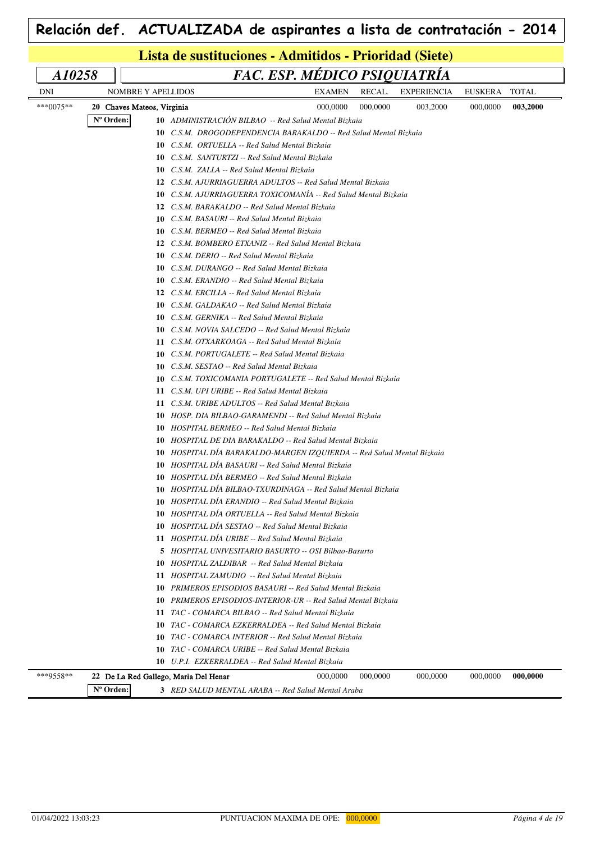|           | Lista de sustituciones - Admitidos - Prioridad (Siete) |                                                                           |                              |          |                    |          |              |  |  |  |
|-----------|--------------------------------------------------------|---------------------------------------------------------------------------|------------------------------|----------|--------------------|----------|--------------|--|--|--|
| A10258    |                                                        |                                                                           | FAC. ESP. MÉDICO PSIQUIATRÍA |          |                    |          |              |  |  |  |
| DNI       | NOMBRE Y APELLIDOS                                     |                                                                           | EXAMEN                       | RECAL.   | <b>EXPERIENCIA</b> | EUSKERA  | <b>TOTAL</b> |  |  |  |
| ***0075** | 20 Chaves Mateos, Virginia                             |                                                                           | 000,0000                     | 000,0000 | 003,2000           | 000,0000 | 003,2000     |  |  |  |
|           | N° Orden:                                              | 10 ADMINISTRACIÓN BILBAO -- Red Salud Mental Bizkaia                      |                              |          |                    |          |              |  |  |  |
|           |                                                        | <b>10</b> C.S.M. DROGODEPENDENCIA BARAKALDO -- Red Salud Mental Bizkaia   |                              |          |                    |          |              |  |  |  |
|           |                                                        | <b>10</b> C.S.M. ORTUELLA -- Red Salud Mental Bizkaia                     |                              |          |                    |          |              |  |  |  |
|           |                                                        | <b>10</b> C.S.M. SANTURTZI -- Red Salud Mental Bizkaia                    |                              |          |                    |          |              |  |  |  |
|           |                                                        | <b>10</b> C.S.M. ZALLA -- Red Salud Mental Bizkaia                        |                              |          |                    |          |              |  |  |  |
|           |                                                        | 12 C.S.M. AJURRIAGUERRA ADULTOS -- Red Salud Mental Bizkaia               |                              |          |                    |          |              |  |  |  |
|           |                                                        | 10 C.S.M. AJURRIAGUERRA TOXICOMANÍA -- Red Salud Mental Bizkaia           |                              |          |                    |          |              |  |  |  |
|           |                                                        | 12 C.S.M. BARAKALDO -- Red Salud Mental Bizkaia                           |                              |          |                    |          |              |  |  |  |
|           |                                                        | <b>10</b> C.S.M. BASAURI -- Red Salud Mental Bizkaia                      |                              |          |                    |          |              |  |  |  |
|           |                                                        | C.S.M. BERMEO -- Red Salud Mental Bizkaia<br>10                           |                              |          |                    |          |              |  |  |  |
|           |                                                        | 12 C.S.M. BOMBERO ETXANIZ -- Red Salud Mental Bizkaia                     |                              |          |                    |          |              |  |  |  |
|           |                                                        | C.S.M. DERIO -- Red Salud Mental Bizkaia<br>10                            |                              |          |                    |          |              |  |  |  |
|           |                                                        | C.S.M. DURANGO -- Red Salud Mental Bizkaia<br>10                          |                              |          |                    |          |              |  |  |  |
|           |                                                        | <b>10</b> C.S.M. ERANDIO -- Red Salud Mental Bizkaia                      |                              |          |                    |          |              |  |  |  |
|           |                                                        | 12 C.S.M. ERCILLA -- Red Salud Mental Bizkaia                             |                              |          |                    |          |              |  |  |  |
|           |                                                        | C.S.M. GALDAKAO -- Red Salud Mental Bizkaia<br>10                         |                              |          |                    |          |              |  |  |  |
|           |                                                        | <b>10</b> C.S.M. GERNIKA -- Red Salud Mental Bizkaia                      |                              |          |                    |          |              |  |  |  |
|           |                                                        | C.S.M. NOVIA SALCEDO -- Red Salud Mental Bizkaia<br>10                    |                              |          |                    |          |              |  |  |  |
|           |                                                        | 11 C.S.M. OTXARKOAGA -- Red Salud Mental Bizkaia                          |                              |          |                    |          |              |  |  |  |
|           |                                                        | C.S.M. PORTUGALETE -- Red Salud Mental Bizkaia<br>10                      |                              |          |                    |          |              |  |  |  |
|           |                                                        | C.S.M. SESTAO -- Red Salud Mental Bizkaia<br>10                           |                              |          |                    |          |              |  |  |  |
|           |                                                        | C.S.M. TOXICOMANIA PORTUGALETE -- Red Salud Mental Bizkaia<br>10          |                              |          |                    |          |              |  |  |  |
|           |                                                        | C.S.M. UPI URIBE -- Red Salud Mental Bizkaia<br>11                        |                              |          |                    |          |              |  |  |  |
|           |                                                        | 11 C.S.M. URIBE ADULTOS -- Red Salud Mental Bizkaia                       |                              |          |                    |          |              |  |  |  |
|           |                                                        | <b>10</b> HOSP, DIA BILBAO-GARAMENDI -- Red Salud Mental Bizkaia          |                              |          |                    |          |              |  |  |  |
|           |                                                        | <b>10</b> HOSPITAL BERMEO -- Red Salud Mental Bizkaia                     |                              |          |                    |          |              |  |  |  |
|           |                                                        | HOSPITAL DE DIA BARAKALDO -- Red Salud Mental Bizkaia<br>10               |                              |          |                    |          |              |  |  |  |
|           |                                                        | HOSPITAL DÍA BARAKALDO-MARGEN IZQUIERDA -- Red Salud Mental Bizkaia<br>10 |                              |          |                    |          |              |  |  |  |
|           |                                                        | HOSPITAL DÍA BASAURI -- Red Salud Mental Bizkaia<br>10                    |                              |          |                    |          |              |  |  |  |
|           |                                                        | 10 HOSPITAL DIA BERMEO -- Red Salud Mental Bizkaia                        |                              |          |                    |          |              |  |  |  |
|           |                                                        | HOSPITAL DÍA BILBAO-TXURDINAGA -- Red Salud Mental Bizkaia<br>10          |                              |          |                    |          |              |  |  |  |
|           |                                                        | 10 HOSPITAL DIA ERANDIO -- Red Salud Mental Bizkaia                       |                              |          |                    |          |              |  |  |  |
|           |                                                        | 10 HOSPITAL DÍA ORTUELLA -- Red Salud Mental Bizkaia                      |                              |          |                    |          |              |  |  |  |
|           |                                                        | 10 HOSPITAL DÍA SESTAO -- Red Salud Mental Bizkaia                        |                              |          |                    |          |              |  |  |  |
|           |                                                        | 11 HOSPITAL DÍA URIBE -- Red Salud Mental Bizkaia                         |                              |          |                    |          |              |  |  |  |
|           |                                                        | 5 HOSPITAL UNIVESITARIO BASURTO -- OSI Bilbao-Basurto                     |                              |          |                    |          |              |  |  |  |
|           |                                                        | 10 HOSPITAL ZALDIBAR -- Red Salud Mental Bizkaia                          |                              |          |                    |          |              |  |  |  |
|           |                                                        | 11 HOSPITAL ZAMUDIO -- Red Salud Mental Bizkaia                           |                              |          |                    |          |              |  |  |  |
|           |                                                        | 10 PRIMEROS EPISODIOS BASAURI -- Red Salud Mental Bizkaia                 |                              |          |                    |          |              |  |  |  |
|           |                                                        | <b>10</b> PRIMEROS EPISODIOS-INTERIOR-UR -- Red Salud Mental Bizkaia      |                              |          |                    |          |              |  |  |  |
|           |                                                        | 11 TAC - COMARCA BILBAO -- Red Salud Mental Bizkaia                       |                              |          |                    |          |              |  |  |  |
|           |                                                        | TAC - COMARCA EZKERRALDEA -- Red Salud Mental Bizkaia<br>10               |                              |          |                    |          |              |  |  |  |
|           |                                                        | 10<br>TAC - COMARCA INTERIOR -- Red Salud Mental Bizkaia                  |                              |          |                    |          |              |  |  |  |
|           |                                                        | TAC - COMARCA URIBE -- Red Salud Mental Bizkaia<br>10                     |                              |          |                    |          |              |  |  |  |
|           |                                                        | 10 U.P.I. EZKERRALDEA -- Red Salud Mental Bizkaia                         |                              |          |                    |          |              |  |  |  |
| ***9558** |                                                        | 22 De La Red Gallego, Maria Del Henar                                     | 000,0000                     | 000,0000 | 000,0000           | 000,0000 | 000,0000     |  |  |  |

**Nº Orden: 3** *RED SALUD MENTAL ARABA -- Red Salud Mental Araba*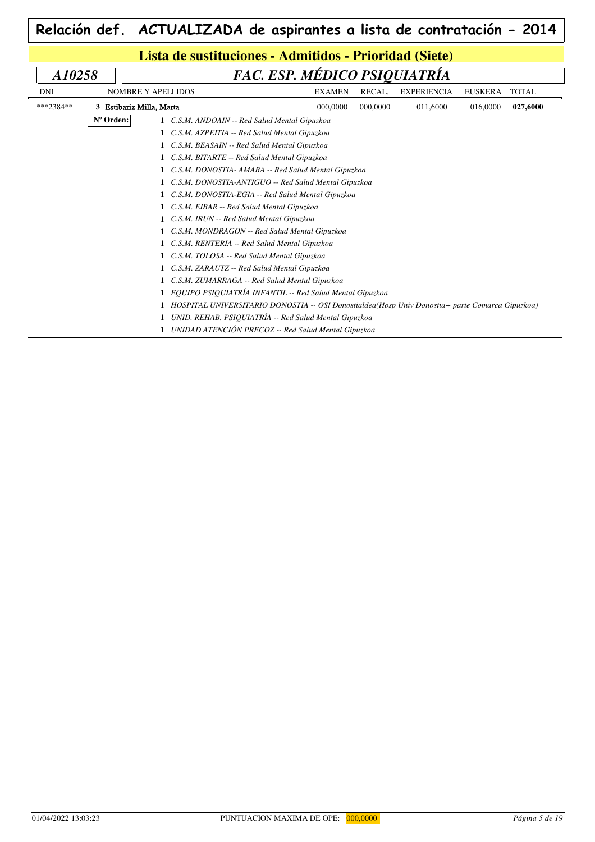| $\mid$ Relación def. $\mid$ ACTUALIZADA de aspirantes a lista de contratación - 2014 $\mid$ |
|---------------------------------------------------------------------------------------------|
|                                                                                             |

| Lista de sustituciones - Admitidos - Prioridad (Siete) |                                                     |                                                      |                                                                                                 |                              |          |                    |                |              |  |  |
|--------------------------------------------------------|-----------------------------------------------------|------------------------------------------------------|-------------------------------------------------------------------------------------------------|------------------------------|----------|--------------------|----------------|--------------|--|--|
| A10258                                                 |                                                     |                                                      |                                                                                                 | FAC. ESP. MÉDICO PSIQUIATRÍA |          |                    |                |              |  |  |
| DNI                                                    |                                                     | <b>NOMBRE Y APELLIDOS</b>                            |                                                                                                 | <b>EXAMEN</b>                | RECAL.   | <b>EXPERIENCIA</b> | <b>EUSKERA</b> | <b>TOTAL</b> |  |  |
| ***2384**                                              |                                                     | 3 Estibariz Milla, Marta                             |                                                                                                 | 000,0000                     | 000,0000 | 011,6000           | 016,0000       | 027,6000     |  |  |
|                                                        | Nº Orden:                                           |                                                      | 1 C.S.M. ANDOAIN -- Red Salud Mental Gipuzkoa                                                   |                              |          |                    |                |              |  |  |
|                                                        |                                                     |                                                      | C.S.M. AZPEITIA -- Red Salud Mental Gipuzkoa                                                    |                              |          |                    |                |              |  |  |
|                                                        |                                                     |                                                      | C.S.M. BEASAIN -- Red Salud Mental Gipuzkoa                                                     |                              |          |                    |                |              |  |  |
|                                                        | C.S.M. BITARTE -- Red Salud Mental Gipuzkoa         |                                                      |                                                                                                 |                              |          |                    |                |              |  |  |
|                                                        | C.S.M. DONOSTIA- AMARA -- Red Salud Mental Gipuzkoa |                                                      |                                                                                                 |                              |          |                    |                |              |  |  |
|                                                        |                                                     | C.S.M. DONOSTIA-ANTIGUO -- Red Salud Mental Gipuzkoa |                                                                                                 |                              |          |                    |                |              |  |  |
|                                                        |                                                     |                                                      | C.S.M. DONOSTIA-EGIA -- Red Salud Mental Gipuzkoa                                               |                              |          |                    |                |              |  |  |
|                                                        |                                                     |                                                      | C.S.M. EIBAR -- Red Salud Mental Gipuzkoa                                                       |                              |          |                    |                |              |  |  |
|                                                        |                                                     |                                                      | C.S.M. IRUN -- Red Salud Mental Gipuzkoa                                                        |                              |          |                    |                |              |  |  |
|                                                        |                                                     |                                                      | C.S.M. MONDRAGON -- Red Salud Mental Gipuzkoa                                                   |                              |          |                    |                |              |  |  |
|                                                        |                                                     |                                                      | C.S.M. RENTERIA -- Red Salud Mental Gipuzkoa                                                    |                              |          |                    |                |              |  |  |
|                                                        |                                                     |                                                      | C.S.M. TOLOSA -- Red Salud Mental Gipuzkoa                                                      |                              |          |                    |                |              |  |  |
|                                                        |                                                     |                                                      | C.S.M. ZARAUTZ -- Red Salud Mental Gipuzkoa                                                     |                              |          |                    |                |              |  |  |
|                                                        |                                                     |                                                      | C.S.M. ZUMARRAGA -- Red Salud Mental Gipuzkoa                                                   |                              |          |                    |                |              |  |  |
|                                                        |                                                     |                                                      | EQUIPO PSIQUIATRÍA INFANTIL -- Red Salud Mental Gipuzkoa                                        |                              |          |                    |                |              |  |  |
|                                                        |                                                     |                                                      | HOSPITAL UNIVERSITARIO DONOSTIA -- OSI Donostialdea(Hosp Univ Donostia+ parte Comarca Gipuzkoa) |                              |          |                    |                |              |  |  |
|                                                        |                                                     |                                                      | UNID. REHAB. PSIQUIATRÍA -- Red Salud Mental Gipuzkoa                                           |                              |          |                    |                |              |  |  |
|                                                        |                                                     |                                                      | UNIDAD ATENCIÓN PRECOZ -- Red Salud Mental Gipuzkoa                                             |                              |          |                    |                |              |  |  |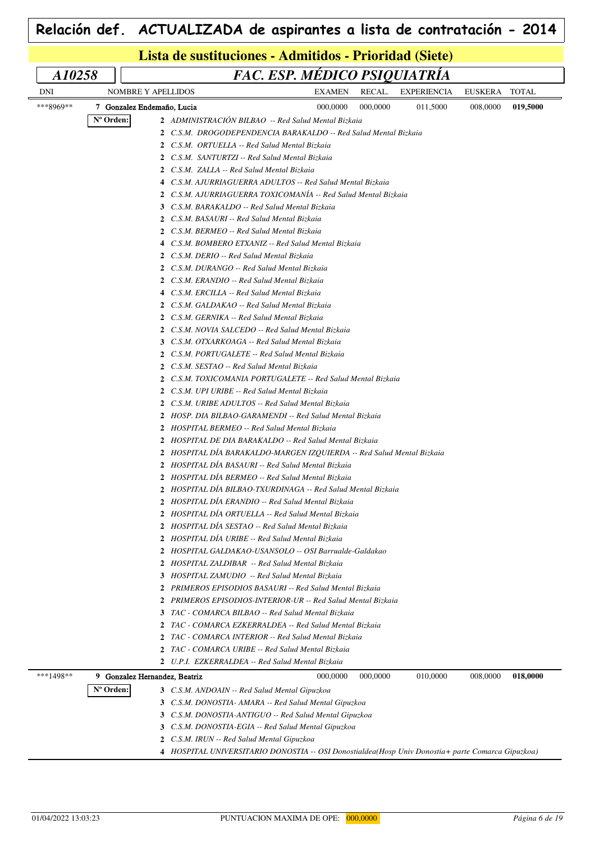| FAC. ESP. MÉDICO PSIQUIATRÍA<br>A10258 |                            |                                                                                                           |                                                            |          |                    |          |              |  |  |  |
|----------------------------------------|----------------------------|-----------------------------------------------------------------------------------------------------------|------------------------------------------------------------|----------|--------------------|----------|--------------|--|--|--|
| <b>DNI</b>                             |                            | <b>NOMBRE Y APELLIDOS</b>                                                                                 | <b>EXAMEN</b>                                              | RECAL.   | <b>EXPERIENCIA</b> | EUSKERA  | <b>TOTAL</b> |  |  |  |
| ***8969**                              | 7 Gonzalez Endemaño, Lucia |                                                                                                           | 000,0000                                                   | 000,0000 | 011,5000           | 008,0000 | 019,5000     |  |  |  |
|                                        | N° Orden:                  | 2 ADMINISTRACIÓN BILBAO -- Red Salud Mental Bizkaia                                                       |                                                            |          |                    |          |              |  |  |  |
|                                        |                            | 2 C.S.M. DROGODEPENDENCIA BARAKALDO -- Red Salud Mental Bizkaia                                           |                                                            |          |                    |          |              |  |  |  |
|                                        |                            | 2 C.S.M. ORTUELLA -- Red Salud Mental Bizkaia                                                             |                                                            |          |                    |          |              |  |  |  |
|                                        |                            | 2 C.S.M. SANTURTZI -- Red Salud Mental Bizkaia                                                            |                                                            |          |                    |          |              |  |  |  |
|                                        |                            | 2 C.S.M. ZALLA -- Red Salud Mental Bizkaia                                                                |                                                            |          |                    |          |              |  |  |  |
|                                        |                            | 4 C.S.M. AJURRIAGUERRA ADULTOS -- Red Salud Mental Bizkaia                                                |                                                            |          |                    |          |              |  |  |  |
|                                        |                            | 2 C.S.M. AJURRIAGUERRA TOXICOMANÍA -- Red Salud Mental Bizkaia                                            |                                                            |          |                    |          |              |  |  |  |
|                                        |                            | 3 C.S.M. BARAKALDO -- Red Salud Mental Bizkaia                                                            |                                                            |          |                    |          |              |  |  |  |
|                                        |                            | 2 C.S.M. BASAURI -- Red Salud Mental Bizkaia                                                              |                                                            |          |                    |          |              |  |  |  |
|                                        |                            | 2 C.S.M. BERMEO -- Red Salud Mental Bizkaia                                                               |                                                            |          |                    |          |              |  |  |  |
|                                        |                            | 4 C.S.M. BOMBERO ETXANIZ -- Red Salud Mental Bizkaia                                                      |                                                            |          |                    |          |              |  |  |  |
|                                        |                            | 2 C.S.M. DERIO -- Red Salud Mental Bizkaia                                                                |                                                            |          |                    |          |              |  |  |  |
|                                        |                            | 2 C.S.M. DURANGO -- Red Salud Mental Bizkaia                                                              |                                                            |          |                    |          |              |  |  |  |
|                                        |                            | 2 C.S.M. ERANDIO -- Red Salud Mental Bizkaia                                                              |                                                            |          |                    |          |              |  |  |  |
|                                        |                            | 4 C.S.M. ERCILLA -- Red Salud Mental Bizkaia                                                              |                                                            |          |                    |          |              |  |  |  |
|                                        |                            | 2 C.S.M. GALDAKAO -- Red Salud Mental Bizkaia                                                             |                                                            |          |                    |          |              |  |  |  |
|                                        |                            | 2 C.S.M. GERNIKA -- Red Salud Mental Bizkaia                                                              |                                                            |          |                    |          |              |  |  |  |
|                                        |                            | 2 C.S.M. NOVIA SALCEDO -- Red Salud Mental Bizkaia                                                        |                                                            |          |                    |          |              |  |  |  |
|                                        |                            | 3 C.S.M. OTXARKOAGA -- Red Salud Mental Bizkaia                                                           |                                                            |          |                    |          |              |  |  |  |
|                                        |                            | 2 C.S.M. PORTUGALETE -- Red Salud Mental Bizkaia                                                          |                                                            |          |                    |          |              |  |  |  |
|                                        |                            | 2 C.S.M. SESTAO -- Red Salud Mental Bizkaia                                                               |                                                            |          |                    |          |              |  |  |  |
|                                        |                            | 2 C.S.M. TOXICOMANIA PORTUGALETE -- Red Salud Mental Bizkaia                                              |                                                            |          |                    |          |              |  |  |  |
|                                        |                            | 2 C.S.M. UPI URIBE -- Red Salud Mental Bizkaia                                                            |                                                            |          |                    |          |              |  |  |  |
|                                        |                            | 2 C.S.M. URIBE ADULTOS -- Red Salud Mental Bizkaia                                                        |                                                            |          |                    |          |              |  |  |  |
|                                        |                            | 2 HOSP. DIA BILBAO-GARAMENDI -- Red Salud Mental Bizkaia                                                  |                                                            |          |                    |          |              |  |  |  |
|                                        |                            | 2 HOSPITAL BERMEO -- Red Salud Mental Bizkaia                                                             |                                                            |          |                    |          |              |  |  |  |
|                                        |                            | 2 HOSPITAL DE DIA BARAKALDO -- Red Salud Mental Bizkaia                                                   |                                                            |          |                    |          |              |  |  |  |
|                                        |                            | 2 HOSPITAL DIA BARAKALDO-MARGEN IZQUIERDA -- Red Salud Mental Bizkaia                                     |                                                            |          |                    |          |              |  |  |  |
|                                        |                            | 2 HOSPITAL DÍA BASAURI -- Red Salud Mental Bizkaia                                                        |                                                            |          |                    |          |              |  |  |  |
|                                        |                            | 2 HOSPITAL DÍA BERMEO -- Red Salud Mental Bizkaia                                                         |                                                            |          |                    |          |              |  |  |  |
|                                        |                            |                                                                                                           | HOSPITAL DIA BILBAO-TXURDINAGA -- Red Salud Mental Bizkaia |          |                    |          |              |  |  |  |
|                                        |                            | 2 HOSPITAL DIA ERANDIO -- Red Salud Mental Bizkaia<br>2 HOSPITAL DÍA ORTUELLA -- Red Salud Mental Bizkaia |                                                            |          |                    |          |              |  |  |  |
|                                        |                            | 2 HOSPITAL DÍA SESTAO -- Red Salud Mental Bizkaia                                                         |                                                            |          |                    |          |              |  |  |  |
|                                        |                            | 2 HOSPITAL DÍA URIBE -- Red Salud Mental Bizkaia                                                          |                                                            |          |                    |          |              |  |  |  |
|                                        |                            | 2 HOSPITAL GALDAKAO-USANSOLO -- OSI Barrualde-Galdakao                                                    |                                                            |          |                    |          |              |  |  |  |
|                                        |                            | 2 HOSPITAL ZALDIBAR -- Red Salud Mental Bizkaia                                                           |                                                            |          |                    |          |              |  |  |  |
|                                        |                            | 3 HOSPITAL ZAMUDIO -- Red Salud Mental Bizkaia                                                            |                                                            |          |                    |          |              |  |  |  |
|                                        |                            | 2 PRIMEROS EPISODIOS BASAURI -- Red Salud Mental Bizkaia                                                  |                                                            |          |                    |          |              |  |  |  |
|                                        |                            | 2 PRIMEROS EPISODIOS-INTERIOR-UR -- Red Salud Mental Bizkaia                                              |                                                            |          |                    |          |              |  |  |  |
|                                        |                            | 3 TAC - COMARCA BILBAO -- Red Salud Mental Bizkaia                                                        |                                                            |          |                    |          |              |  |  |  |
|                                        |                            | $\mathbf{2}$                                                                                              | TAC - COMARCA EZKERRALDEA -- Red Salud Mental Bizkaia      |          |                    |          |              |  |  |  |
|                                        |                            | $\mathbf{2}$                                                                                              | TAC - COMARCA INTERIOR -- Red Salud Mental Bizkaia         |          |                    |          |              |  |  |  |
|                                        |                            | $\mathbf{2}^-$<br>TAC - COMARCA URIBE -- Red Salud Mental Bizkaia                                         |                                                            |          |                    |          |              |  |  |  |
|                                        |                            | 2 U.P.I. EZKERRALDEA -- Red Salud Mental Bizkaia                                                          |                                                            |          |                    |          |              |  |  |  |
| ***1498**                              |                            | 9 Gonzalez Hernandez, Beatriz                                                                             | 000,0000                                                   | 000,0000 | 010,0000           | 008,0000 | 018,0000     |  |  |  |
|                                        | N° Orden:                  | 3 C.S.M. ANDOAIN -- Red Salud Mental Gipuzkoa                                                             |                                                            |          |                    |          |              |  |  |  |
|                                        |                            | 3 C.S.M. DONOSTIA- AMARA -- Red Salud Mental Gipuzkoa                                                     |                                                            |          |                    |          |              |  |  |  |
|                                        |                            | 3 C.S.M. DONOSTIA-ANTIGUO -- Red Salud Mental Gipuzkoa                                                    |                                                            |          |                    |          |              |  |  |  |
|                                        |                            | 3 C.S.M. DONOSTIA-EGIA -- Red Salud Mental Gipuzkoa                                                       |                                                            |          |                    |          |              |  |  |  |
|                                        |                            | 2 C.S.M. IRUN -- Red Salud Mental Gipuzkoa                                                                |                                                            |          |                    |          |              |  |  |  |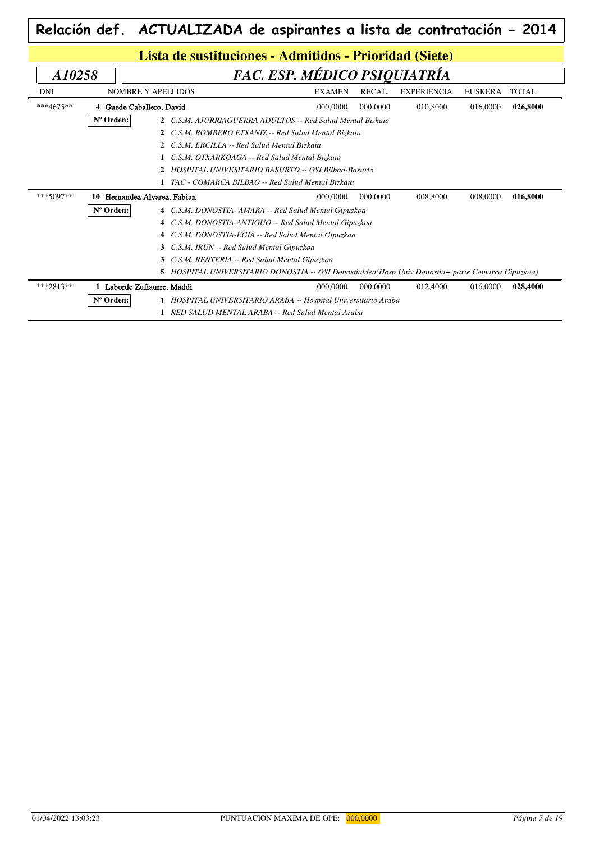|             | Relación def. ACTUALIZADA de aspirantes a lista de contratación - 2014                            |                              |          |                    |                |              |  |  |  |
|-------------|---------------------------------------------------------------------------------------------------|------------------------------|----------|--------------------|----------------|--------------|--|--|--|
|             | Lista de sustituciones - Admitidos - Prioridad (Siete)                                            |                              |          |                    |                |              |  |  |  |
| A10258      |                                                                                                   | FAC. ESP. MÉDICO PSIQUIATRÍA |          |                    |                |              |  |  |  |
| DNI         | <b>NOMBRE Y APELLIDOS</b>                                                                         | <b>EXAMEN</b>                | RECAL.   | <b>EXPERIENCIA</b> | <b>EUSKERA</b> | <b>TOTAL</b> |  |  |  |
| $***4675**$ | 4 Guede Caballero, David                                                                          | 000,0000                     | 000,0000 | 010,8000           | 016,0000       | 026,8000     |  |  |  |
|             | Nº Orden:<br>2 C.S.M. AJURRIAGUERRA ADULTOS -- Red Salud Mental Bizkaia                           |                              |          |                    |                |              |  |  |  |
|             | C.S.M. BOMBERO ETXANIZ -- Red Salud Mental Bizkaia<br>$\mathbf{2}$                                |                              |          |                    |                |              |  |  |  |
|             | C.S.M. ERCILLA -- Red Salud Mental Bizkaia                                                        |                              |          |                    |                |              |  |  |  |
|             | C.S.M. OTXARKOAGA -- Red Salud Mental Bizkaia                                                     |                              |          |                    |                |              |  |  |  |
|             | HOSPITAL UNIVESITARIO BASURTO -- OSI Bilbao-Basurto                                               |                              |          |                    |                |              |  |  |  |
|             | 1 TAC - COMARCA BILBAO -- Red Salud Mental Bizkaia                                                |                              |          |                    |                |              |  |  |  |
| ***5097**   | 10 Hernandez Alvarez, Fabian                                                                      | 000,0000                     | 000,0000 | 008,8000           | 008,0000       | 016,8000     |  |  |  |
|             | Nº Orden:<br>4 C.S.M. DONOSTIA- AMARA -- Red Salud Mental Gipuzkoa                                |                              |          |                    |                |              |  |  |  |
|             | 4 C.S.M. DONOSTIA-ANTIGUO -- Red Salud Mental Gipuzkoa                                            |                              |          |                    |                |              |  |  |  |
|             | 4 C.S.M. DONOSTIA-EGIA -- Red Salud Mental Gipuzkoa                                               |                              |          |                    |                |              |  |  |  |
|             | C.S.M. IRUN -- Red Salud Mental Gipuzkoa<br>3                                                     |                              |          |                    |                |              |  |  |  |
|             | C.S.M. RENTERIA -- Red Salud Mental Gipuzkoa                                                      |                              |          |                    |                |              |  |  |  |
|             | 5 HOSPITAL UNIVERSITARIO DONOSTIA -- OSI Donostialdea(Hosp Univ Donostia+ parte Comarca Gipuzkoa) |                              |          |                    |                |              |  |  |  |
| ***2813**   | 1 Laborde Zufiaurre, Maddi                                                                        | 000,0000                     | 000,0000 | 012,4000           | 016,0000       | 028,4000     |  |  |  |
|             | Nº Orden:<br>1 HOSPITAL UNIVERSITARIO ARABA -- Hospital Universitario Araba                       |                              |          |                    |                |              |  |  |  |
|             | 1 RED SALUD MENTAL ARABA -- Red Salud Mental Araba                                                |                              |          |                    |                |              |  |  |  |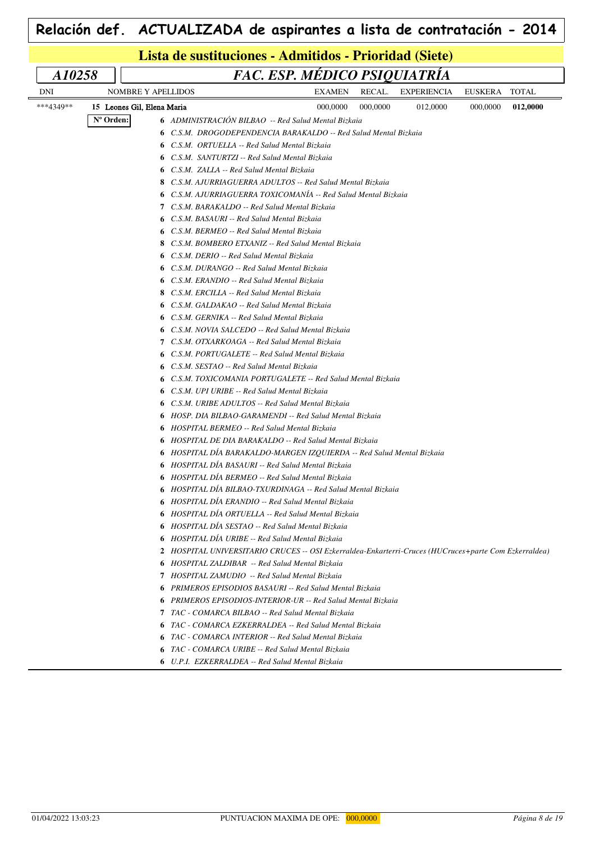| Lista de sustituciones - Admitidos - Prioridad (Siete)<br>FAC. ESP. MÉDICO PSIQUIATRÍA<br>A10258<br>RECAL.<br><b>TOTAL</b><br>DNI<br><b>NOMBRE Y APELLIDOS</b><br>EXAMEN<br><b>EXPERIENCIA</b><br>EUSKERA<br>***4349**<br>000,0000<br>000,0000<br>012,0000<br>15 Leones Gil, Elena Maria<br>000,0000<br>012,0000<br>Nº Orden:<br>6 ADMINISTRACIÓN BILBAO -- Red Salud Mental Bizkaia<br><b>6</b> C.S.M. DROGODEPENDENCIA BARAKALDO -- Red Salud Mental Bizkaia<br><b>6</b> C.S.M. ORTUELLA -- Red Salud Mental Bizkaia<br><b>6</b> C.S.M. SANTURTZI -- Red Salud Mental Bizkaia<br><b>6</b> C.S.M. ZALLA -- Red Salud Mental Bizkaia<br>8 C.S.M. AJURRIAGUERRA ADULTOS -- Red Salud Mental Bizkaia<br>6 C.S.M. AJURRIAGUERRA TOXICOMANÍA -- Red Salud Mental Bizkaia<br>7 C.S.M. BARAKALDO -- Red Salud Mental Bizkaia |
|------------------------------------------------------------------------------------------------------------------------------------------------------------------------------------------------------------------------------------------------------------------------------------------------------------------------------------------------------------------------------------------------------------------------------------------------------------------------------------------------------------------------------------------------------------------------------------------------------------------------------------------------------------------------------------------------------------------------------------------------------------------------------------------------------------------------|
|                                                                                                                                                                                                                                                                                                                                                                                                                                                                                                                                                                                                                                                                                                                                                                                                                        |
|                                                                                                                                                                                                                                                                                                                                                                                                                                                                                                                                                                                                                                                                                                                                                                                                                        |
|                                                                                                                                                                                                                                                                                                                                                                                                                                                                                                                                                                                                                                                                                                                                                                                                                        |
|                                                                                                                                                                                                                                                                                                                                                                                                                                                                                                                                                                                                                                                                                                                                                                                                                        |
|                                                                                                                                                                                                                                                                                                                                                                                                                                                                                                                                                                                                                                                                                                                                                                                                                        |
|                                                                                                                                                                                                                                                                                                                                                                                                                                                                                                                                                                                                                                                                                                                                                                                                                        |
|                                                                                                                                                                                                                                                                                                                                                                                                                                                                                                                                                                                                                                                                                                                                                                                                                        |
|                                                                                                                                                                                                                                                                                                                                                                                                                                                                                                                                                                                                                                                                                                                                                                                                                        |
|                                                                                                                                                                                                                                                                                                                                                                                                                                                                                                                                                                                                                                                                                                                                                                                                                        |
|                                                                                                                                                                                                                                                                                                                                                                                                                                                                                                                                                                                                                                                                                                                                                                                                                        |
|                                                                                                                                                                                                                                                                                                                                                                                                                                                                                                                                                                                                                                                                                                                                                                                                                        |
| <b>6</b> C.S.M. BASAURI -- Red Salud Mental Bizkaia                                                                                                                                                                                                                                                                                                                                                                                                                                                                                                                                                                                                                                                                                                                                                                    |
| <b>6</b> C.S.M. BERMEO -- Red Salud Mental Bizkaia                                                                                                                                                                                                                                                                                                                                                                                                                                                                                                                                                                                                                                                                                                                                                                     |
| 8 C.S.M. BOMBERO ETXANIZ -- Red Salud Mental Bizkaia                                                                                                                                                                                                                                                                                                                                                                                                                                                                                                                                                                                                                                                                                                                                                                   |
| 6 C.S.M. DERIO -- Red Salud Mental Bizkaia                                                                                                                                                                                                                                                                                                                                                                                                                                                                                                                                                                                                                                                                                                                                                                             |
| <b>6</b> C.S.M. DURANGO -- Red Salud Mental Bizkaia                                                                                                                                                                                                                                                                                                                                                                                                                                                                                                                                                                                                                                                                                                                                                                    |
| <b>6</b> C.S.M. ERANDIO -- Red Salud Mental Bizkaia                                                                                                                                                                                                                                                                                                                                                                                                                                                                                                                                                                                                                                                                                                                                                                    |
| 8 C.S.M. ERCILLA -- Red Salud Mental Bizkaia                                                                                                                                                                                                                                                                                                                                                                                                                                                                                                                                                                                                                                                                                                                                                                           |
| 6 C.S.M. GALDAKAO -- Red Salud Mental Bizkaia                                                                                                                                                                                                                                                                                                                                                                                                                                                                                                                                                                                                                                                                                                                                                                          |
| <b>6</b> C.S.M. GERNIKA -- Red Salud Mental Bizkaia                                                                                                                                                                                                                                                                                                                                                                                                                                                                                                                                                                                                                                                                                                                                                                    |
| <b>6</b> C.S.M. NOVIA SALCEDO -- Red Salud Mental Bizkaia<br>7 C.S.M. OTXARKOAGA -- Red Salud Mental Bizkaia                                                                                                                                                                                                                                                                                                                                                                                                                                                                                                                                                                                                                                                                                                           |
| <b>6</b> C.S.M. PORTUGALETE -- Red Salud Mental Bizkaia                                                                                                                                                                                                                                                                                                                                                                                                                                                                                                                                                                                                                                                                                                                                                                |
| 6 C.S.M. SESTAO -- Red Salud Mental Bizkaia                                                                                                                                                                                                                                                                                                                                                                                                                                                                                                                                                                                                                                                                                                                                                                            |
| <b>6</b> C.S.M. TOXICOMANIA PORTUGALETE -- Red Salud Mental Bizkaia                                                                                                                                                                                                                                                                                                                                                                                                                                                                                                                                                                                                                                                                                                                                                    |
| <b>6</b> C.S.M. UPI URIBE -- Red Salud Mental Bizkaia                                                                                                                                                                                                                                                                                                                                                                                                                                                                                                                                                                                                                                                                                                                                                                  |
| C.S.M. URIBE ADULTOS -- Red Salud Mental Bizkaia                                                                                                                                                                                                                                                                                                                                                                                                                                                                                                                                                                                                                                                                                                                                                                       |
| <b>6</b> HOSP. DIA BILBAO-GARAMENDI -- Red Salud Mental Bizkaia                                                                                                                                                                                                                                                                                                                                                                                                                                                                                                                                                                                                                                                                                                                                                        |
| 6 HOSPITAL BERMEO -- Red Salud Mental Bizkaia                                                                                                                                                                                                                                                                                                                                                                                                                                                                                                                                                                                                                                                                                                                                                                          |
| 6 HOSPITAL DE DIA BARAKALDO -- Red Salud Mental Bizkaia                                                                                                                                                                                                                                                                                                                                                                                                                                                                                                                                                                                                                                                                                                                                                                |
| 6 HOSPITAL DÍA BARAKALDO-MARGEN IZOUIERDA -- Red Salud Mental Bizkaia                                                                                                                                                                                                                                                                                                                                                                                                                                                                                                                                                                                                                                                                                                                                                  |
| 6 HOSPITAL DÍA BASAURI -- Red Salud Mental Bizkaia                                                                                                                                                                                                                                                                                                                                                                                                                                                                                                                                                                                                                                                                                                                                                                     |
| 6 HOSPITAL DÍA BERMEO -- Red Salud Mental Bizkaia                                                                                                                                                                                                                                                                                                                                                                                                                                                                                                                                                                                                                                                                                                                                                                      |
| 6 HOSPITAL DIA BILBAO-TXURDINAGA -- Red Salud Mental Bizkaia                                                                                                                                                                                                                                                                                                                                                                                                                                                                                                                                                                                                                                                                                                                                                           |
| 6 HOSPITAL DIA ERANDIO -- Red Salud Mental Bizkaia                                                                                                                                                                                                                                                                                                                                                                                                                                                                                                                                                                                                                                                                                                                                                                     |
| 6 HOSPITAL DÍA ORTUELLA -- Red Salud Mental Bizkaia                                                                                                                                                                                                                                                                                                                                                                                                                                                                                                                                                                                                                                                                                                                                                                    |
| 6 HOSPITAL DÍA SESTAO -- Red Salud Mental Bizkaia                                                                                                                                                                                                                                                                                                                                                                                                                                                                                                                                                                                                                                                                                                                                                                      |
| 6 HOSPITAL DÍA URIBE -- Red Salud Mental Bizkaia                                                                                                                                                                                                                                                                                                                                                                                                                                                                                                                                                                                                                                                                                                                                                                       |
| 2 HOSPITAL UNIVERSITARIO CRUCES -- OSI Ezkerraldea-Enkarterri-Cruces (HUCruces+parte Com Ezkerraldea)                                                                                                                                                                                                                                                                                                                                                                                                                                                                                                                                                                                                                                                                                                                  |
| <b>6</b> HOSPITAL ZALDIBAR -- Red Salud Mental Bizkaia                                                                                                                                                                                                                                                                                                                                                                                                                                                                                                                                                                                                                                                                                                                                                                 |
| <b>7</b> HOSPITAL ZAMUDIO -- Red Salud Mental Bizkaia                                                                                                                                                                                                                                                                                                                                                                                                                                                                                                                                                                                                                                                                                                                                                                  |
| <b>6</b> PRIMEROS EPISODIOS BASAURI -- Red Salud Mental Bizkaia                                                                                                                                                                                                                                                                                                                                                                                                                                                                                                                                                                                                                                                                                                                                                        |
| <b>6</b> PRIMEROS EPISODIOS-INTERIOR-UR -- Red Salud Mental Bizkaia                                                                                                                                                                                                                                                                                                                                                                                                                                                                                                                                                                                                                                                                                                                                                    |
| 7 TAC - COMARCA BILBAO -- Red Salud Mental Bizkaia                                                                                                                                                                                                                                                                                                                                                                                                                                                                                                                                                                                                                                                                                                                                                                     |
| <b>6</b> TAC - COMARCA EZKERRALDEA -- Red Salud Mental Bizkaia                                                                                                                                                                                                                                                                                                                                                                                                                                                                                                                                                                                                                                                                                                                                                         |
| 6 TAC - COMARCA INTERIOR -- Red Salud Mental Bizkaia                                                                                                                                                                                                                                                                                                                                                                                                                                                                                                                                                                                                                                                                                                                                                                   |
| <b>6</b> TAC - COMARCA URIBE -- Red Salud Mental Bizkaia<br>6 U.P.I. EZKERRALDEA -- Red Salud Mental Bizkaia                                                                                                                                                                                                                                                                                                                                                                                                                                                                                                                                                                                                                                                                                                           |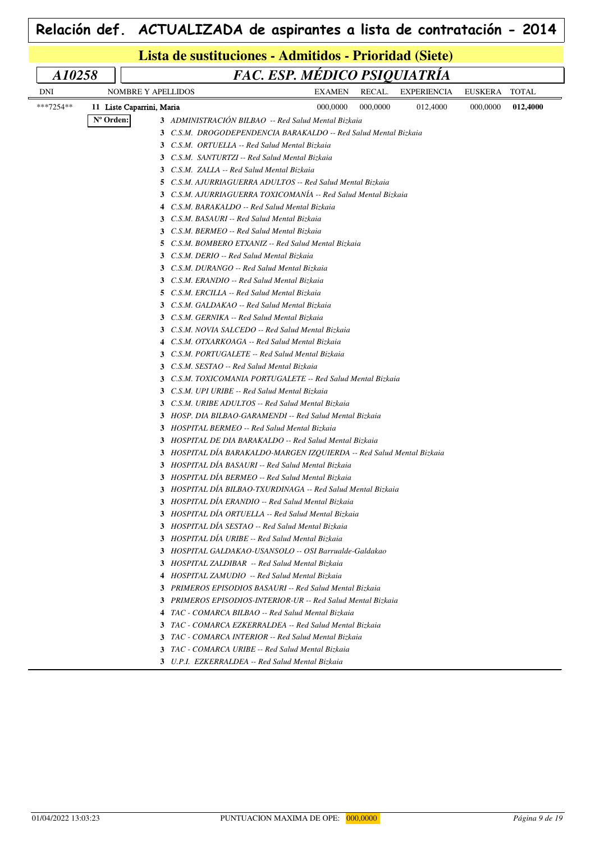| Lista de sustituciones - Admitidos - Prioridad (Siete) |           |                                                                                                          |                              |          |                    |                |              |  |  |
|--------------------------------------------------------|-----------|----------------------------------------------------------------------------------------------------------|------------------------------|----------|--------------------|----------------|--------------|--|--|
| A10258                                                 |           |                                                                                                          | FAC. ESP. MÉDICO PSIQUIATRÍA |          |                    |                |              |  |  |
| <b>DNI</b>                                             |           | NOMBRE Y APELLIDOS                                                                                       | <b>EXAMEN</b>                | RECAL.   | <b>EXPERIENCIA</b> | <b>EUSKERA</b> | <b>TOTAL</b> |  |  |
| ***7254**                                              |           | 11 Liste Caparrini, Maria                                                                                | 000,0000                     | 000,0000 | 012,4000           | 000,0000       | 012,4000     |  |  |
|                                                        | N° Orden: | 3 ADMINISTRACIÓN BILBAO -- Red Salud Mental Bizkaia                                                      |                              |          |                    |                |              |  |  |
|                                                        |           | 3 C.S.M. DROGODEPENDENCIA BARAKALDO -- Red Salud Mental Bizkaia                                          |                              |          |                    |                |              |  |  |
|                                                        |           | 3 C.S.M. ORTUELLA -- Red Salud Mental Bizkaia                                                            |                              |          |                    |                |              |  |  |
|                                                        |           | 3 C.S.M. SANTURTZI -- Red Salud Mental Bizkaia                                                           |                              |          |                    |                |              |  |  |
|                                                        |           | 3 C.S.M. ZALLA -- Red Salud Mental Bizkaia                                                               |                              |          |                    |                |              |  |  |
|                                                        |           | 5 C.S.M. AJURRIAGUERRA ADULTOS -- Red Salud Mental Bizkaia                                               |                              |          |                    |                |              |  |  |
|                                                        |           | 3 C.S.M. AJURRIAGUERRA TOXICOMANIA -- Red Salud Mental Bizkaia                                           |                              |          |                    |                |              |  |  |
|                                                        |           | 4 C.S.M. BARAKALDO -- Red Salud Mental Bizkaia                                                           |                              |          |                    |                |              |  |  |
|                                                        |           | 3 C.S.M. BASAURI -- Red Salud Mental Bizkaia                                                             |                              |          |                    |                |              |  |  |
|                                                        |           | 3 C.S.M. BERMEO -- Red Salud Mental Bizkaia                                                              |                              |          |                    |                |              |  |  |
|                                                        |           | <b>5</b> C.S.M. BOMBERO ETXANIZ -- Red Salud Mental Bizkaia                                              |                              |          |                    |                |              |  |  |
|                                                        |           | 3 C.S.M. DERIO -- Red Salud Mental Bizkaia                                                               |                              |          |                    |                |              |  |  |
|                                                        |           | 3 C.S.M. DURANGO -- Red Salud Mental Bizkaia                                                             |                              |          |                    |                |              |  |  |
|                                                        |           | 3 C.S.M. ERANDIO -- Red Salud Mental Bizkaia                                                             |                              |          |                    |                |              |  |  |
|                                                        |           | 5 C.S.M. ERCILLA -- Red Salud Mental Bizkaia                                                             |                              |          |                    |                |              |  |  |
|                                                        |           | 3 C.S.M. GALDAKAO -- Red Salud Mental Bizkaia                                                            |                              |          |                    |                |              |  |  |
|                                                        |           | 3 C.S.M. GERNIKA -- Red Salud Mental Bizkaia                                                             |                              |          |                    |                |              |  |  |
|                                                        |           | 3 C.S.M. NOVIA SALCEDO -- Red Salud Mental Bizkaia                                                       |                              |          |                    |                |              |  |  |
|                                                        |           | 4 C.S.M. OTXARKOAGA -- Red Salud Mental Bizkaia                                                          |                              |          |                    |                |              |  |  |
|                                                        |           | 3 C.S.M. PORTUGALETE -- Red Salud Mental Bizkaia                                                         |                              |          |                    |                |              |  |  |
|                                                        |           | 3 C.S.M. SESTAO -- Red Salud Mental Bizkaia                                                              |                              |          |                    |                |              |  |  |
|                                                        |           | 3 C.S.M. TOXICOMANIA PORTUGALETE -- Red Salud Mental Bizkaia                                             |                              |          |                    |                |              |  |  |
|                                                        |           | 3 C.S.M. UPI URIBE -- Red Salud Mental Bizkaia                                                           |                              |          |                    |                |              |  |  |
|                                                        |           | 3 C.S.M. URIBE ADULTOS -- Red Salud Mental Bizkaia                                                       |                              |          |                    |                |              |  |  |
|                                                        |           | 3 HOSP. DIA BILBAO-GARAMENDI -- Red Salud Mental Bizkaia                                                 |                              |          |                    |                |              |  |  |
|                                                        |           | 3 HOSPITAL BERMEO -- Red Salud Mental Bizkaia                                                            |                              |          |                    |                |              |  |  |
|                                                        |           | 3 HOSPITAL DE DIA BARAKALDO -- Red Salud Mental Bizkaia                                                  |                              |          |                    |                |              |  |  |
|                                                        |           | 3 HOSPITAL DIA BARAKALDO-MARGEN IZQUIERDA -- Red Salud Mental Bizkaia                                    |                              |          |                    |                |              |  |  |
|                                                        |           | 3 HOSPITAL DIA BASAURI -- Red Salud Mental Bizkaia                                                       |                              |          |                    |                |              |  |  |
|                                                        |           | 3 HOSPITAL DÍA BERMEO -- Red Salud Mental Bizkaia                                                        |                              |          |                    |                |              |  |  |
|                                                        |           | 3 HOSPITAL DIA BILBAO-TXURDINAGA -- Red Salud Mental Bizkaia                                             |                              |          |                    |                |              |  |  |
|                                                        |           | 3 HOSPITAL DIA ERANDIO -- Red Salud Mental Bizkaia                                                       |                              |          |                    |                |              |  |  |
|                                                        |           | 3 HOSPITAL DIA ORTUELLA -- Red Salud Mental Bizkaia<br>3 HOSPITAL DÍA SESTAO -- Red Salud Mental Bizkaia |                              |          |                    |                |              |  |  |
|                                                        |           | 3 HOSPITAL DÍA URIBE -- Red Salud Mental Bizkaia                                                         |                              |          |                    |                |              |  |  |
|                                                        |           | 3 HOSPITAL GALDAKAO-USANSOLO -- OSI Barrualde-Galdakao                                                   |                              |          |                    |                |              |  |  |
|                                                        |           | 3 HOSPITAL ZALDIBAR -- Red Salud Mental Bizkaia                                                          |                              |          |                    |                |              |  |  |
|                                                        |           | 4 HOSPITAL ZAMUDIO -- Red Salud Mental Bizkaia                                                           |                              |          |                    |                |              |  |  |
|                                                        |           | 3 PRIMEROS EPISODIOS BASAURI -- Red Salud Mental Bizkaia                                                 |                              |          |                    |                |              |  |  |
|                                                        |           | 3 PRIMEROS EPISODIOS-INTERIOR-UR -- Red Salud Mental Bizkaia                                             |                              |          |                    |                |              |  |  |
|                                                        |           | 4 TAC - COMARCA BILBAO -- Red Salud Mental Bizkaia                                                       |                              |          |                    |                |              |  |  |
|                                                        |           | 3 TAC - COMARCA EZKERRALDEA -- Red Salud Mental Bizkaia                                                  |                              |          |                    |                |              |  |  |
|                                                        |           | 3 TAC - COMARCA INTERIOR -- Red Salud Mental Bizkaia                                                     |                              |          |                    |                |              |  |  |
|                                                        |           | 3 TAC - COMARCA URIBE -- Red Salud Mental Bizkaia                                                        |                              |          |                    |                |              |  |  |
|                                                        |           | 3 U.P.I. EZKERRALDEA -- Red Salud Mental Bizkaia                                                         |                              |          |                    |                |              |  |  |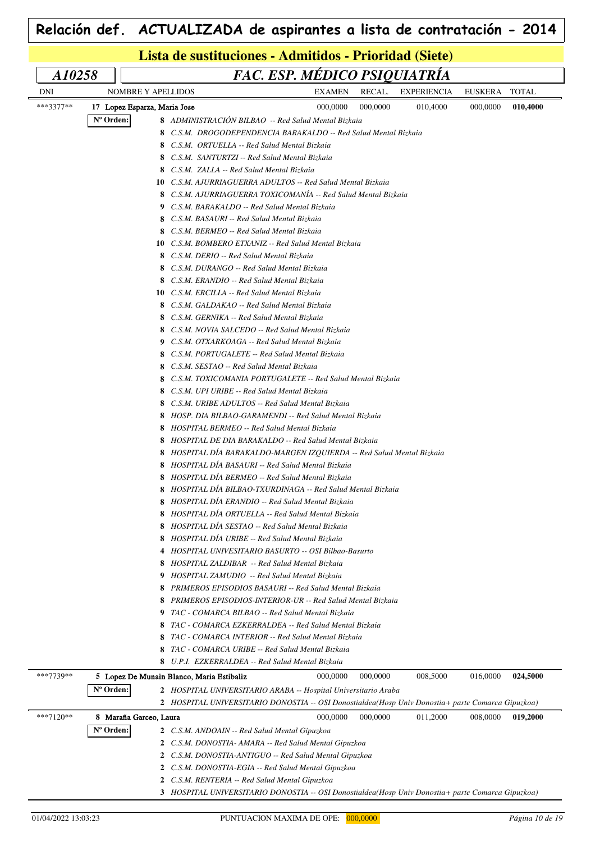|           | Lista de sustituciones - Admitidos - Prioridad (Siete) |                                                                                                           |  |          |                    |                |              |  |  |  |
|-----------|--------------------------------------------------------|-----------------------------------------------------------------------------------------------------------|--|----------|--------------------|----------------|--------------|--|--|--|
| A10258    |                                                        | FAC. ESP. MÉDICO PSIQUIATRÍA                                                                              |  |          |                    |                |              |  |  |  |
| DNI       | NOMBRE Y APELLIDOS                                     | <b>EXAMEN</b>                                                                                             |  | RECAL.   | <b>EXPERIENCIA</b> | <b>EUSKERA</b> | <b>TOTAL</b> |  |  |  |
| ***3377** | 17 Lopez Esparza, Maria Jose                           | 000,0000                                                                                                  |  | 000,0000 | 010,4000           | 000,0000       | 010,4000     |  |  |  |
|           | Nº Orden:                                              | 8 ADMINISTRACIÓN BILBAO -- Red Salud Mental Bizkaia                                                       |  |          |                    |                |              |  |  |  |
|           |                                                        | C.S.M. DROGODEPENDENCIA BARAKALDO -- Red Salud Mental Bizkaia                                             |  |          |                    |                |              |  |  |  |
|           |                                                        | 8 C.S.M. ORTUELLA -- Red Salud Mental Bizkaia                                                             |  |          |                    |                |              |  |  |  |
|           |                                                        | 8 C.S.M. SANTURTZI -- Red Salud Mental Bizkaia                                                            |  |          |                    |                |              |  |  |  |
|           |                                                        | 8 C.S.M. ZALLA -- Red Salud Mental Bizkaia                                                                |  |          |                    |                |              |  |  |  |
|           |                                                        | 10 C.S.M. AJURRIAGUERRA ADULTOS -- Red Salud Mental Bizkaia                                               |  |          |                    |                |              |  |  |  |
|           |                                                        | 8 C.S.M. AJURRIAGUERRA TOXICOMANÍA -- Red Salud Mental Bizkaia                                            |  |          |                    |                |              |  |  |  |
|           |                                                        | 9 C.S.M. BARAKALDO -- Red Salud Mental Bizkaia                                                            |  |          |                    |                |              |  |  |  |
|           |                                                        | 8 C.S.M. BASAURI -- Red Salud Mental Bizkaia                                                              |  |          |                    |                |              |  |  |  |
|           |                                                        | 8 C.S.M. BERMEO -- Red Salud Mental Bizkaia                                                               |  |          |                    |                |              |  |  |  |
|           |                                                        | <b>10</b> C.S.M. BOMBERO ETXANIZ -- Red Salud Mental Bizkaia                                              |  |          |                    |                |              |  |  |  |
|           |                                                        | 8 C.S.M. DERIO -- Red Salud Mental Bizkaia                                                                |  |          |                    |                |              |  |  |  |
|           |                                                        | 8 C.S.M. DURANGO -- Red Salud Mental Bizkaia                                                              |  |          |                    |                |              |  |  |  |
|           |                                                        | 8 C.S.M. ERANDIO -- Red Salud Mental Bizkaia                                                              |  |          |                    |                |              |  |  |  |
|           |                                                        | <b>10</b> C.S.M. ERCILLA -- Red Salud Mental Bizkaia                                                      |  |          |                    |                |              |  |  |  |
|           |                                                        | C.S.M. GALDAKAO -- Red Salud Mental Bizkaia<br>8                                                          |  |          |                    |                |              |  |  |  |
|           |                                                        | C.S.M. GERNIKA -- Red Salud Mental Bizkaia<br>8                                                           |  |          |                    |                |              |  |  |  |
|           |                                                        | 8 C.S.M. NOVIA SALCEDO -- Red Salud Mental Bizkaia                                                        |  |          |                    |                |              |  |  |  |
|           |                                                        | 9 C.S.M. OTXARKOAGA -- Red Salud Mental Bizkaia                                                           |  |          |                    |                |              |  |  |  |
|           |                                                        | 8 C.S.M. PORTUGALETE -- Red Salud Mental Bizkaia                                                          |  |          |                    |                |              |  |  |  |
|           |                                                        | 8 C.S.M. SESTAO -- Red Salud Mental Bizkaia                                                               |  |          |                    |                |              |  |  |  |
|           |                                                        | 8 C.S.M. TOXICOMANIA PORTUGALETE -- Red Salud Mental Bizkaia                                              |  |          |                    |                |              |  |  |  |
|           |                                                        | 8 C.S.M. UPI URIBE -- Red Salud Mental Bizkaia                                                            |  |          |                    |                |              |  |  |  |
|           |                                                        | 8 C.S.M. URIBE ADULTOS -- Red Salud Mental Bizkaia                                                        |  |          |                    |                |              |  |  |  |
|           |                                                        | 8 HOSP. DIA BILBAO-GARAMENDI -- Red Salud Mental Bizkaia<br>8 HOSPITAL BERMEO -- Red Salud Mental Bizkaia |  |          |                    |                |              |  |  |  |
|           |                                                        | 8 HOSPITAL DE DIA BARAKALDO -- Red Salud Mental Bizkaia                                                   |  |          |                    |                |              |  |  |  |
|           |                                                        | 8 HOSPITAL DIA BARAKALDO-MARGEN IZQUIERDA -- Red Salud Mental Bizkaia                                     |  |          |                    |                |              |  |  |  |
|           |                                                        | 8 HOSPITAL DIA BASAURI -- Red Salud Mental Bizkaia                                                        |  |          |                    |                |              |  |  |  |
|           |                                                        | 8 HOSPITAL DIA BERMEO -- Red Salud Mental Bizkaia                                                         |  |          |                    |                |              |  |  |  |
|           |                                                        | HOSPITAL DÍA BILBAO-TXURDINAGA -- Red Salud Mental Bizkaia                                                |  |          |                    |                |              |  |  |  |
|           |                                                        | 8 HOSPITAL DIA ERANDIO -- Red Salud Mental Bizkaia                                                        |  |          |                    |                |              |  |  |  |
|           |                                                        | 8 HOSPITAL DÍA ORTUELLA -- Red Salud Mental Bizkaia                                                       |  |          |                    |                |              |  |  |  |
|           |                                                        | 8 HOSPITAL DÍA SESTAO -- Red Salud Mental Bizkaia                                                         |  |          |                    |                |              |  |  |  |
|           |                                                        | 8 HOSPITAL DÍA URIBE -- Red Salud Mental Bizkaia                                                          |  |          |                    |                |              |  |  |  |
|           |                                                        | 4 HOSPITAL UNIVESITARIO BASURTO -- OSI Bilbao-Basurto                                                     |  |          |                    |                |              |  |  |  |
|           |                                                        | 8 HOSPITAL ZALDIBAR -- Red Salud Mental Bizkaia                                                           |  |          |                    |                |              |  |  |  |
|           |                                                        | 9 HOSPITAL ZAMUDIO -- Red Salud Mental Bizkaia                                                            |  |          |                    |                |              |  |  |  |
|           |                                                        | PRIMEROS EPISODIOS BASAURI -- Red Salud Mental Bizkaia<br>8                                               |  |          |                    |                |              |  |  |  |
|           |                                                        | <b>8</b> PRIMEROS EPISODIOS-INTERIOR-UR -- Red Salud Mental Bizkaia                                       |  |          |                    |                |              |  |  |  |
|           |                                                        | 9 TAC - COMARCA BILBAO -- Red Salud Mental Bizkaia                                                        |  |          |                    |                |              |  |  |  |
|           |                                                        | 8 TAC - COMARCA EZKERRALDEA -- Red Salud Mental Bizkaia                                                   |  |          |                    |                |              |  |  |  |
|           |                                                        | 8 TAC - COMARCA INTERIOR -- Red Salud Mental Bizkaia                                                      |  |          |                    |                |              |  |  |  |
|           |                                                        | 8 TAC - COMARCA URIBE -- Red Salud Mental Bizkaia                                                         |  |          |                    |                |              |  |  |  |
|           |                                                        | 8 U.P.I. EZKERRALDEA -- Red Salud Mental Bizkaia                                                          |  |          |                    |                |              |  |  |  |
| ***7739** |                                                        | 5 Lopez De Munain Blanco, Maria Estibaliz<br>000,0000                                                     |  | 000,0000 | 008,5000           | 016,0000       | 024,5000     |  |  |  |
|           | Nº Orden:                                              | 2 HOSPITAL UNIVERSITARIO ARABA -- Hospital Universitario Araba                                            |  |          |                    |                |              |  |  |  |
|           |                                                        | 2 HOSPITAL UNIVERSITARIO DONOSTIA -- OSI Donostialdea(Hosp Univ Donostia+ parte Comarca Gipuzkoa)         |  |          |                    |                |              |  |  |  |
| ***7120** | 8 Maraña Garceo, Laura                                 | 000,0000                                                                                                  |  | 000,0000 | 011,2000           | 008,0000       | 019,2000     |  |  |  |
|           | N° Orden:                                              | 2 C.S.M. ANDOAIN -- Red Salud Mental Gipuzkoa                                                             |  |          |                    |                |              |  |  |  |
|           |                                                        | 2 C.S.M. DONOSTIA- AMARA -- Red Salud Mental Gipuzkoa                                                     |  |          |                    |                |              |  |  |  |
|           |                                                        | 2 C.S.M. DONOSTIA-ANTIGUO -- Red Salud Mental Gipuzkoa                                                    |  |          |                    |                |              |  |  |  |
|           |                                                        | C.S.M. DONOSTIA-EGIA -- Red Salud Mental Gipuzkoa<br>$\mathbf{2}$                                         |  |          |                    |                |              |  |  |  |
|           |                                                        | 2 C.S.M. RENTERIA -- Red Salud Mental Gipuzkoa                                                            |  |          |                    |                |              |  |  |  |
|           |                                                        | 3 HOSPITAL UNIVERSITARIO DONOSTIA -- OSI Donostialdea(Hosp Univ Donostia+ parte Comarca Gipuzkoa)         |  |          |                    |                |              |  |  |  |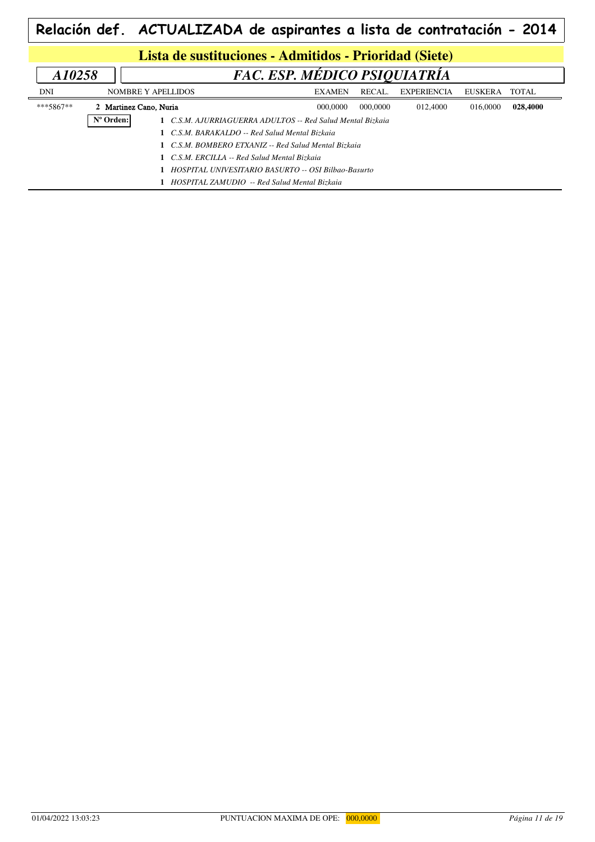| Lista de sustituciones - Admitidos - Prioridad (Siete) |                        |                                                            |               |          |                    |                |          |  |  |  |
|--------------------------------------------------------|------------------------|------------------------------------------------------------|---------------|----------|--------------------|----------------|----------|--|--|--|
| A10258                                                 |                        | FAC. ESP. MÉDICO PSIQUIATRIA                               |               |          |                    |                |          |  |  |  |
| DNI                                                    |                        | <b>NOMBRE Y APELLIDOS</b>                                  | <b>EXAMEN</b> | RECAL.   | <b>EXPERIENCIA</b> | <b>EUSKERA</b> | TOTAL    |  |  |  |
| ***5867**                                              | 2 Martinez Cano, Nuria |                                                            | 000,0000      | 000,0000 | 012,4000           | 016,0000       | 028,4000 |  |  |  |
|                                                        | Nº Orden:              | 1 C.S.M. AJURRIAGUERRA ADULTOS -- Red Salud Mental Bizkaia |               |          |                    |                |          |  |  |  |
|                                                        |                        | 1 C.S.M. BARAKALDO -- Red Salud Mental Bizkaia             |               |          |                    |                |          |  |  |  |
|                                                        |                        | 1 C.S.M. BOMBERO ETXANIZ -- Red Salud Mental Bizkaia       |               |          |                    |                |          |  |  |  |
|                                                        |                        | C.S.M. ERCILLA -- Red Salud Mental Bizkaia                 |               |          |                    |                |          |  |  |  |
|                                                        |                        | HOSPITAL UNIVESITARIO BASURTO -- OSI Bilbao-Basurto        |               |          |                    |                |          |  |  |  |
|                                                        |                        | HOSPITAL ZAMUDIO -- Red Salud Mental Bizkaia               |               |          |                    |                |          |  |  |  |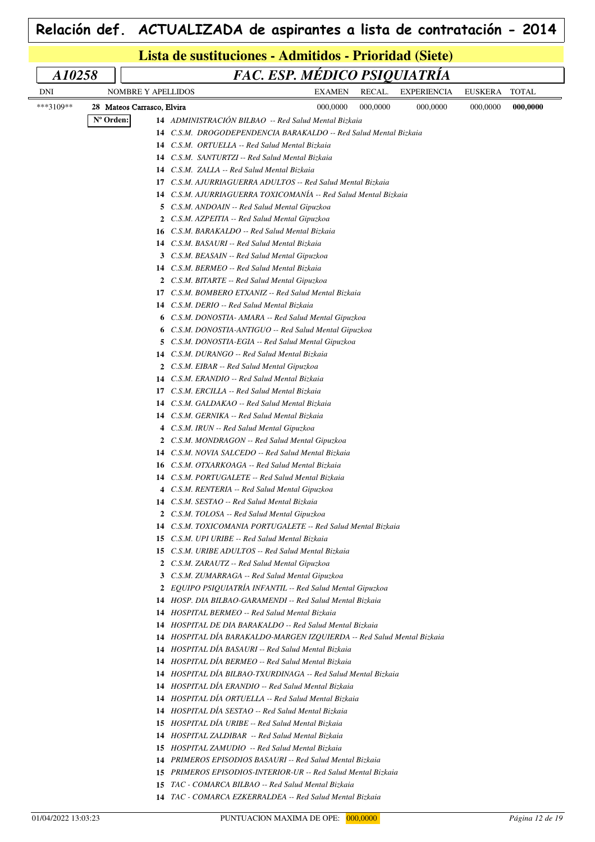| Lista de sustituciones - Admitidos - Prioridad (Siete) |           |                            |              |                                                            |  |  |  |  |  |  |  |  |  |                                                               |          |                                                               |                                                                        |          |              |  |
|--------------------------------------------------------|-----------|----------------------------|--------------|------------------------------------------------------------|--|--|--|--|--|--|--|--|--|---------------------------------------------------------------|----------|---------------------------------------------------------------|------------------------------------------------------------------------|----------|--------------|--|
| A10258                                                 |           |                            |              |                                                            |  |  |  |  |  |  |  |  |  |                                                               |          |                                                               | FAC. ESP. MÉDICO PSIQUIATRÍA                                           |          |              |  |
| DNI                                                    |           | NOMBRE Y APELLIDOS         |              |                                                            |  |  |  |  |  |  |  |  |  | <b>EXAMEN</b>                                                 | RECAL.   |                                                               | <b>EXPERIENCIA</b>                                                     | EUSKERA  | <b>TOTAL</b> |  |
| ***3109**                                              |           | 28 Mateos Carrasco, Elvira |              |                                                            |  |  |  |  |  |  |  |  |  | 000,0000                                                      | 000,0000 |                                                               | 000,0000                                                               | 000,0000 | 000,0000     |  |
|                                                        | N° Orden: |                            |              |                                                            |  |  |  |  |  |  |  |  |  | 14 ADMINISTRACIÓN BILBAO -- Red Salud Mental Bizkaia          |          |                                                               |                                                                        |          |              |  |
|                                                        |           |                            | 14           |                                                            |  |  |  |  |  |  |  |  |  |                                                               |          | C.S.M. DROGODEPENDENCIA BARAKALDO -- Red Salud Mental Bizkaia |                                                                        |          |              |  |
|                                                        |           |                            | 14           | C.S.M. ORTUELLA -- Red Salud Mental Bizkaia                |  |  |  |  |  |  |  |  |  |                                                               |          |                                                               |                                                                        |          |              |  |
|                                                        |           |                            | 14           | C.S.M. SANTURTZI -- Red Salud Mental Bizkaia               |  |  |  |  |  |  |  |  |  |                                                               |          |                                                               |                                                                        |          |              |  |
|                                                        |           |                            | 14           | C.S.M. ZALLA -- Red Salud Mental Bizkaia                   |  |  |  |  |  |  |  |  |  |                                                               |          |                                                               |                                                                        |          |              |  |
|                                                        |           |                            | 17           |                                                            |  |  |  |  |  |  |  |  |  | C.S.M. AJURRIAGUERRA ADULTOS -- Red Salud Mental Bizkaia      |          |                                                               |                                                                        |          |              |  |
|                                                        |           |                            | 14           |                                                            |  |  |  |  |  |  |  |  |  | C.S.M. AJURRIAGUERRA TOXICOMANÍA -- Red Salud Mental Bizkaia  |          |                                                               |                                                                        |          |              |  |
|                                                        |           |                            |              | 5 C.S.M. ANDOAIN -- Red Salud Mental Gipuzkoa              |  |  |  |  |  |  |  |  |  |                                                               |          |                                                               |                                                                        |          |              |  |
|                                                        |           |                            | 2            | C.S.M. AZPEITIA -- Red Salud Mental Gipuzkoa               |  |  |  |  |  |  |  |  |  |                                                               |          |                                                               |                                                                        |          |              |  |
|                                                        |           |                            | 16           | C.S.M. BARAKALDO -- Red Salud Mental Bizkaia               |  |  |  |  |  |  |  |  |  |                                                               |          |                                                               |                                                                        |          |              |  |
|                                                        |           |                            | 14           | C.S.M. BASAURI -- Red Salud Mental Bizkaia                 |  |  |  |  |  |  |  |  |  |                                                               |          |                                                               |                                                                        |          |              |  |
|                                                        |           |                            | 3            | C.S.M. BEASAIN -- Red Salud Mental Gipuzkoa                |  |  |  |  |  |  |  |  |  |                                                               |          |                                                               |                                                                        |          |              |  |
|                                                        |           |                            | 14           | C.S.M. BERMEO -- Red Salud Mental Bizkaia                  |  |  |  |  |  |  |  |  |  |                                                               |          |                                                               |                                                                        |          |              |  |
|                                                        |           |                            | $\mathbf{2}$ | C.S.M. BITARTE -- Red Salud Mental Gipuzkoa                |  |  |  |  |  |  |  |  |  |                                                               |          |                                                               |                                                                        |          |              |  |
|                                                        |           |                            | 17           |                                                            |  |  |  |  |  |  |  |  |  | C.S.M. BOMBERO ETXANIZ -- Red Salud Mental Bizkaia            |          |                                                               |                                                                        |          |              |  |
|                                                        |           |                            | 14           | C.S.M. DERIO -- Red Salud Mental Bizkaia                   |  |  |  |  |  |  |  |  |  |                                                               |          |                                                               |                                                                        |          |              |  |
|                                                        |           |                            | 6            |                                                            |  |  |  |  |  |  |  |  |  | C.S.M. DONOSTIA- AMARA -- Red Salud Mental Gipuzkoa           |          |                                                               |                                                                        |          |              |  |
|                                                        |           |                            | 6            |                                                            |  |  |  |  |  |  |  |  |  | C.S.M. DONOSTIA-ANTIGUO -- Red Salud Mental Gipuzkoa          |          |                                                               |                                                                        |          |              |  |
|                                                        |           |                            | 5.           |                                                            |  |  |  |  |  |  |  |  |  | C.S.M. DONOSTIA-EGIA -- Red Salud Mental Gipuzkoa             |          |                                                               |                                                                        |          |              |  |
|                                                        |           |                            | 14           | C.S.M. DURANGO -- Red Salud Mental Bizkaia                 |  |  |  |  |  |  |  |  |  |                                                               |          |                                                               |                                                                        |          |              |  |
|                                                        |           |                            | 2            | C.S.M. EIBAR -- Red Salud Mental Gipuzkoa                  |  |  |  |  |  |  |  |  |  |                                                               |          |                                                               |                                                                        |          |              |  |
|                                                        |           |                            | 14           | C.S.M. ERANDIO -- Red Salud Mental Bizkaia                 |  |  |  |  |  |  |  |  |  |                                                               |          |                                                               |                                                                        |          |              |  |
|                                                        |           |                            | 17           | C.S.M. ERCILLA -- Red Salud Mental Bizkaia                 |  |  |  |  |  |  |  |  |  |                                                               |          |                                                               |                                                                        |          |              |  |
|                                                        |           |                            | 14           | C.S.M. GALDAKAO -- Red Salud Mental Bizkaia                |  |  |  |  |  |  |  |  |  |                                                               |          |                                                               |                                                                        |          |              |  |
|                                                        |           |                            | 14           | C.S.M. GERNIKA -- Red Salud Mental Bizkaia                 |  |  |  |  |  |  |  |  |  |                                                               |          |                                                               |                                                                        |          |              |  |
|                                                        |           |                            |              | 4 C.S.M. IRUN -- Red Salud Mental Gipuzkoa                 |  |  |  |  |  |  |  |  |  |                                                               |          |                                                               |                                                                        |          |              |  |
|                                                        |           |                            | 2            | C.S.M. MONDRAGON -- Red Salud Mental Gipuzkoa              |  |  |  |  |  |  |  |  |  |                                                               |          |                                                               |                                                                        |          |              |  |
|                                                        |           |                            |              | <b>14</b> C.S.M. NOVIA SALCEDO -- Red Salud Mental Bizkaia |  |  |  |  |  |  |  |  |  |                                                               |          |                                                               |                                                                        |          |              |  |
|                                                        |           |                            | 16           | C.S.M. OTXARKOAGA -- Red Salud Mental Bizkaia              |  |  |  |  |  |  |  |  |  |                                                               |          |                                                               |                                                                        |          |              |  |
|                                                        |           |                            |              | <b>14</b> C.S.M. PORTUGALETE -- Red Salud Mental Bizkaia   |  |  |  |  |  |  |  |  |  |                                                               |          |                                                               |                                                                        |          |              |  |
|                                                        |           |                            |              | 4 C.S.M. RENTERIA -- Red Salud Mental Gipuzkoa             |  |  |  |  |  |  |  |  |  |                                                               |          |                                                               |                                                                        |          |              |  |
|                                                        |           |                            |              | 14 C.S.M. SESTAO -- Red Salud Mental Bizkaia               |  |  |  |  |  |  |  |  |  |                                                               |          |                                                               |                                                                        |          |              |  |
|                                                        |           |                            |              | 2 C.S.M. TOLOSA -- Red Salud Mental Gipuzkoa               |  |  |  |  |  |  |  |  |  |                                                               |          |                                                               |                                                                        |          |              |  |
|                                                        |           |                            |              | <b>15</b> C.S.M. UPI URIBE -- Red Salud Mental Bizkaia     |  |  |  |  |  |  |  |  |  | 14 C.S.M. TOXICOMANIA PORTUGALETE -- Red Salud Mental Bizkaia |          |                                                               |                                                                        |          |              |  |
|                                                        |           |                            | 15           | C.S.M. URIBE ADULTOS -- Red Salud Mental Bizkaia           |  |  |  |  |  |  |  |  |  |                                                               |          |                                                               |                                                                        |          |              |  |
|                                                        |           |                            | 2            | C.S.M. ZARAUTZ -- Red Salud Mental Gipuzkoa                |  |  |  |  |  |  |  |  |  |                                                               |          |                                                               |                                                                        |          |              |  |
|                                                        |           |                            |              | 3 C.S.M. ZUMARRAGA -- Red Salud Mental Gipuzkoa            |  |  |  |  |  |  |  |  |  |                                                               |          |                                                               |                                                                        |          |              |  |
|                                                        |           |                            |              |                                                            |  |  |  |  |  |  |  |  |  | 2 EOUIPO PSIOUIATRÍA INFANTIL -- Red Salud Mental Gipuzkoa    |          |                                                               |                                                                        |          |              |  |
|                                                        |           |                            |              |                                                            |  |  |  |  |  |  |  |  |  | 14 HOSP. DIA BILBAO-GARAMENDI -- Red Salud Mental Bizkaia     |          |                                                               |                                                                        |          |              |  |
|                                                        |           |                            |              | 14 HOSPITAL BERMEO -- Red Salud Mental Bizkaia             |  |  |  |  |  |  |  |  |  |                                                               |          |                                                               |                                                                        |          |              |  |
|                                                        |           |                            |              |                                                            |  |  |  |  |  |  |  |  |  | 14 HOSPITAL DE DIA BARAKALDO -- Red Salud Mental Bizkaia      |          |                                                               |                                                                        |          |              |  |
|                                                        |           |                            |              |                                                            |  |  |  |  |  |  |  |  |  |                                                               |          |                                                               | 14 HOSPITAL DIA BARAKALDO-MARGEN IZQUIERDA -- Red Salud Mental Bizkaia |          |              |  |
|                                                        |           |                            |              |                                                            |  |  |  |  |  |  |  |  |  | 14 HOSPITAL DÍA BASAURI -- Red Salud Mental Bizkaia           |          |                                                               |                                                                        |          |              |  |
|                                                        |           |                            |              |                                                            |  |  |  |  |  |  |  |  |  | 14 HOSPITAL DIA BERMEO -- Red Salud Mental Bizkaia            |          |                                                               |                                                                        |          |              |  |
|                                                        |           |                            |              |                                                            |  |  |  |  |  |  |  |  |  | 14 HOSPITAL DÍA BILBAO-TXURDINAGA -- Red Salud Mental Bizkaia |          |                                                               |                                                                        |          |              |  |
|                                                        |           |                            |              |                                                            |  |  |  |  |  |  |  |  |  | 14 HOSPITAL DIA ERANDIO -- Red Salud Mental Bizkaia           |          |                                                               |                                                                        |          |              |  |
|                                                        |           |                            |              |                                                            |  |  |  |  |  |  |  |  |  | 14 HOSPITAL DÍA ORTUELLA -- Red Salud Mental Bizkaia          |          |                                                               |                                                                        |          |              |  |
|                                                        |           |                            |              | 14 HOSPITAL DÍA SESTAO -- Red Salud Mental Bizkaia         |  |  |  |  |  |  |  |  |  |                                                               |          |                                                               |                                                                        |          |              |  |
|                                                        |           |                            |              | 15 HOSPITAL DÍA URIBE -- Red Salud Mental Bizkaia          |  |  |  |  |  |  |  |  |  |                                                               |          |                                                               |                                                                        |          |              |  |
|                                                        |           |                            |              | 14 HOSPITAL ZALDIBAR -- Red Salud Mental Bizkaia           |  |  |  |  |  |  |  |  |  |                                                               |          |                                                               |                                                                        |          |              |  |
|                                                        |           |                            |              | <b>15</b> HOSPITAL ZAMUDIO -- Red Salud Mental Bizkaia     |  |  |  |  |  |  |  |  |  |                                                               |          |                                                               |                                                                        |          |              |  |
|                                                        |           |                            |              |                                                            |  |  |  |  |  |  |  |  |  | 14 PRIMEROS EPISODIOS BASAURI -- Red Salud Mental Bizkaia     |          |                                                               |                                                                        |          |              |  |
|                                                        |           |                            |              |                                                            |  |  |  |  |  |  |  |  |  | 15 PRIMEROS EPISODIOS-INTERIOR-UR -- Red Salud Mental Bizkaia |          |                                                               |                                                                        |          |              |  |
|                                                        |           |                            |              |                                                            |  |  |  |  |  |  |  |  |  | 15 TAC - COMARCA BILBAO -- Red Salud Mental Bizkaia           |          |                                                               |                                                                        |          |              |  |

*TAC - COMARCA EZKERRALDEA -- Red Salud Mental Bizkaia*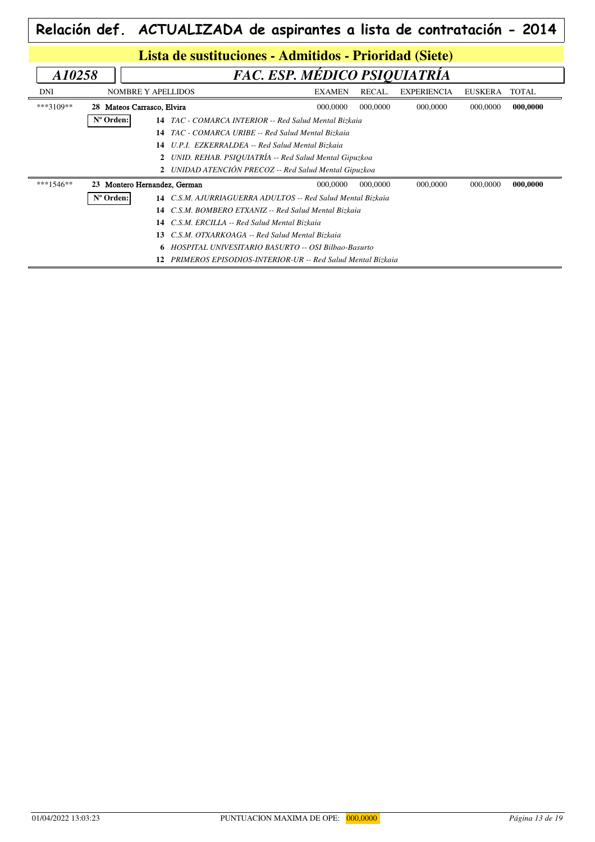|                                        |                                                        |                           |  | Relación def. ACTUALIZADA de aspirantes a lista de contratación - 2014 |               |          |                    |                |              |  |  |
|----------------------------------------|--------------------------------------------------------|---------------------------|--|------------------------------------------------------------------------|---------------|----------|--------------------|----------------|--------------|--|--|
|                                        | Lista de sustituciones - Admitidos - Prioridad (Siete) |                           |  |                                                                        |               |          |                    |                |              |  |  |
| FAC. ESP. MÉDICO PSIQUIATRÍA<br>A10258 |                                                        |                           |  |                                                                        |               |          |                    |                |              |  |  |
| DNI                                    |                                                        | <b>NOMBRE Y APELLIDOS</b> |  |                                                                        | <b>EXAMEN</b> | RECAL.   | <b>EXPERIENCIA</b> | <b>EUSKERA</b> | <b>TOTAL</b> |  |  |
| ***3109**                              | 28 Mateos Carrasco, Elvira                             |                           |  |                                                                        | 000,0000      | 000,0000 | 000,0000           | 000,0000       | 000,0000     |  |  |
|                                        | Nº Orden:                                              |                           |  | 14 TAC - COMARCA INTERIOR -- Red Salud Mental Bizkaia                  |               |          |                    |                |              |  |  |
|                                        |                                                        | 14                        |  | TAC - COMARCA URIBE -- Red Salud Mental Bizkaia                        |               |          |                    |                |              |  |  |
|                                        |                                                        | 14                        |  | U.P.I. EZKERRALDEA -- Red Salud Mental Bizkaia                         |               |          |                    |                |              |  |  |
|                                        |                                                        |                           |  | 2 UNID. REHAB. PSIQUIATRÍA -- Red Salud Mental Gipuzkoa                |               |          |                    |                |              |  |  |
|                                        |                                                        |                           |  | 2 UNIDAD ATENCIÓN PRECOZ -- Red Salud Mental Gipuzkoa                  |               |          |                    |                |              |  |  |
| ***1546**                              | 23                                                     | Montero Hernandez, German |  |                                                                        | 000,0000      | 000,0000 | 000,0000           | 000,0000       | 000,0000     |  |  |
|                                        | Nº Orden:                                              | 14                        |  | C.S.M. AJURRIAGUERRA ADULTOS -- Red Salud Mental Bizkaia               |               |          |                    |                |              |  |  |
|                                        |                                                        | 14                        |  | C.S.M. BOMBERO ETXANIZ -- Red Salud Mental Bizkaia                     |               |          |                    |                |              |  |  |
|                                        |                                                        | 14                        |  | C.S.M. ERCILLA -- Red Salud Mental Bizkaia                             |               |          |                    |                |              |  |  |
|                                        |                                                        | 13                        |  | C.S.M. OTXARKOAGA -- Red Salud Mental Bizkaia                          |               |          |                    |                |              |  |  |
|                                        |                                                        | 6.                        |  | HOSPITAL UNIVESITARIO BASURTO -- OSI Bilbao-Basurto                    |               |          |                    |                |              |  |  |
|                                        |                                                        | 12                        |  | <b>PRIMEROS EPISODIOS-INTERIOR-UR -- Red Salud Mental Bizkaia</b>      |               |          |                    |                |              |  |  |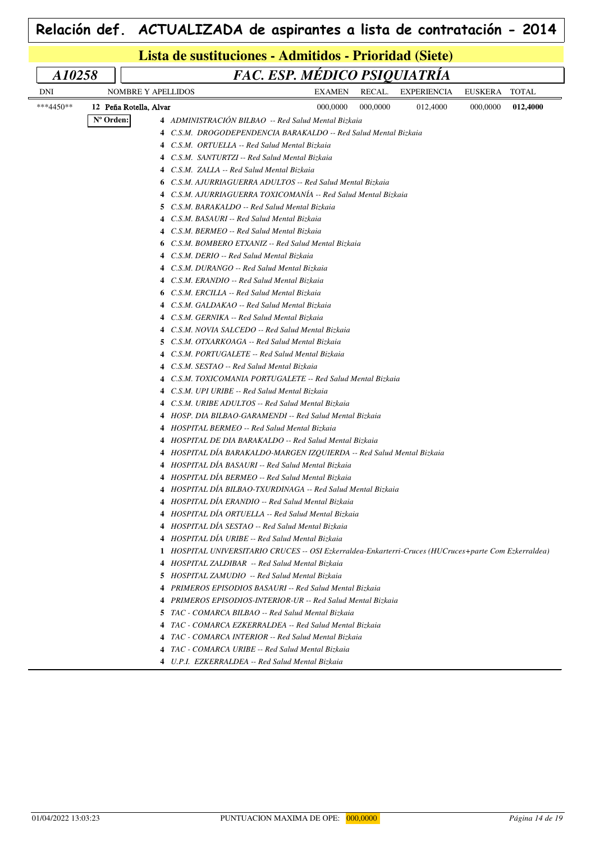|           | Lista de sustituciones - Admitidos - Prioridad (Siete) |                                                                                                                           |                              |          |                    |                |              |  |  |  |  |  |  |
|-----------|--------------------------------------------------------|---------------------------------------------------------------------------------------------------------------------------|------------------------------|----------|--------------------|----------------|--------------|--|--|--|--|--|--|
| A10258    |                                                        |                                                                                                                           | FAC. ESP. MÉDICO PSIQUIATRÍA |          |                    |                |              |  |  |  |  |  |  |
| DNI       | <b>NOMBRE Y APELLIDOS</b>                              |                                                                                                                           | <b>EXAMEN</b>                | RECAL.   | <b>EXPERIENCIA</b> | <b>EUSKERA</b> | <b>TOTAL</b> |  |  |  |  |  |  |
| ***4450** | 12 Peña Rotella, Alvar                                 |                                                                                                                           | 000,0000                     | 000,0000 | 012,4000           | 000,0000       | 012,4000     |  |  |  |  |  |  |
|           | N° Orden:                                              | 4 ADMINISTRACIÓN BILBAO -- Red Salud Mental Bizkaia                                                                       |                              |          |                    |                |              |  |  |  |  |  |  |
|           |                                                        | 4 C.S.M. DROGODEPENDENCIA BARAKALDO -- Red Salud Mental Bizkaia                                                           |                              |          |                    |                |              |  |  |  |  |  |  |
|           |                                                        | 4 C.S.M. ORTUELLA -- Red Salud Mental Bizkaia                                                                             |                              |          |                    |                |              |  |  |  |  |  |  |
|           |                                                        | 4 C.S.M. SANTURTZI -- Red Salud Mental Bizkaia                                                                            |                              |          |                    |                |              |  |  |  |  |  |  |
|           |                                                        | 4 C.S.M. ZALLA -- Red Salud Mental Bizkaia                                                                                |                              |          |                    |                |              |  |  |  |  |  |  |
|           |                                                        | 6 C.S.M. AJURRIAGUERRA ADULTOS -- Red Salud Mental Bizkaia                                                                |                              |          |                    |                |              |  |  |  |  |  |  |
|           |                                                        | 4 C.S.M. AJURRIAGUERRA TOXICOMANIA -- Red Salud Mental Bizkaia                                                            |                              |          |                    |                |              |  |  |  |  |  |  |
|           |                                                        | 5 C.S.M. BARAKALDO -- Red Salud Mental Bizkaia                                                                            |                              |          |                    |                |              |  |  |  |  |  |  |
|           |                                                        | 4 C.S.M. BASAURI -- Red Salud Mental Bizkaia                                                                              |                              |          |                    |                |              |  |  |  |  |  |  |
|           |                                                        | 4 C.S.M. BERMEO -- Red Salud Mental Bizkaia                                                                               |                              |          |                    |                |              |  |  |  |  |  |  |
|           |                                                        | <b>6</b> C.S.M. BOMBERO ETXANIZ -- Red Salud Mental Bizkaia                                                               |                              |          |                    |                |              |  |  |  |  |  |  |
|           |                                                        | C.S.M. DERIO -- Red Salud Mental Bizkaia<br>4                                                                             |                              |          |                    |                |              |  |  |  |  |  |  |
|           |                                                        | 4 C.S.M. DURANGO -- Red Salud Mental Bizkaia                                                                              |                              |          |                    |                |              |  |  |  |  |  |  |
|           |                                                        | 4 C.S.M. ERANDIO -- Red Salud Mental Bizkaia                                                                              |                              |          |                    |                |              |  |  |  |  |  |  |
|           |                                                        | <b>6</b> C.S.M. ERCILLA -- Red Salud Mental Bizkaia                                                                       |                              |          |                    |                |              |  |  |  |  |  |  |
|           |                                                        | 4 C.S.M. GALDAKAO -- Red Salud Mental Bizkaia                                                                             |                              |          |                    |                |              |  |  |  |  |  |  |
|           |                                                        | 4 C.S.M. GERNIKA -- Red Salud Mental Bizkaia                                                                              |                              |          |                    |                |              |  |  |  |  |  |  |
|           |                                                        | 4 C.S.M. NOVIA SALCEDO -- Red Salud Mental Bizkaia                                                                        |                              |          |                    |                |              |  |  |  |  |  |  |
|           |                                                        | <b>5</b> C.S.M. OTXARKOAGA -- Red Salud Mental Bizkaia                                                                    |                              |          |                    |                |              |  |  |  |  |  |  |
|           |                                                        | 4 C.S.M. PORTUGALETE -- Red Salud Mental Bizkaia                                                                          |                              |          |                    |                |              |  |  |  |  |  |  |
|           |                                                        | 4 C.S.M. SESTAO -- Red Salud Mental Bizkaia                                                                               |                              |          |                    |                |              |  |  |  |  |  |  |
|           |                                                        | 4 C.S.M. TOXICOMANIA PORTUGALETE -- Red Salud Mental Bizkaia                                                              |                              |          |                    |                |              |  |  |  |  |  |  |
|           |                                                        | 4 C.S.M. UPI URIBE -- Red Salud Mental Bizkaia                                                                            |                              |          |                    |                |              |  |  |  |  |  |  |
|           |                                                        | 4 C.S.M. URIBE ADULTOS -- Red Salud Mental Bizkaia                                                                        |                              |          |                    |                |              |  |  |  |  |  |  |
|           |                                                        | 4 HOSP. DIA BILBAO-GARAMENDI -- Red Salud Mental Bizkaia                                                                  |                              |          |                    |                |              |  |  |  |  |  |  |
|           |                                                        | 4 HOSPITAL BERMEO -- Red Salud Mental Bizkaia                                                                             |                              |          |                    |                |              |  |  |  |  |  |  |
|           |                                                        | 4 HOSPITAL DE DIA BARAKALDO -- Red Salud Mental Bizkaia                                                                   |                              |          |                    |                |              |  |  |  |  |  |  |
|           |                                                        | 4 HOSPITAL DÍA BARAKALDO-MARGEN IZQUIERDA -- Red Salud Mental Bizkaia<br>HOSPITAL DIA BASAURI -- Red Salud Mental Bizkaia |                              |          |                    |                |              |  |  |  |  |  |  |
|           |                                                        | 4 HOSPITAL DIA BERMEO -- Red Salud Mental Bizkaia                                                                         |                              |          |                    |                |              |  |  |  |  |  |  |
|           |                                                        | HOSPITAL DÍA BILBAO-TXURDINAGA -- Red Salud Mental Bizkaia<br>4                                                           |                              |          |                    |                |              |  |  |  |  |  |  |
|           |                                                        | 4 HOSPITAL DIA ERANDIO -- Red Salud Mental Bizkaia                                                                        |                              |          |                    |                |              |  |  |  |  |  |  |
|           |                                                        | 4 HOSPITAL DÍA ORTUELLA -- Red Salud Mental Bizkaia                                                                       |                              |          |                    |                |              |  |  |  |  |  |  |
|           |                                                        | 4 HOSPITAL DÍA SESTAO -- Red Salud Mental Bizkaia                                                                         |                              |          |                    |                |              |  |  |  |  |  |  |
|           |                                                        | 4 HOSPITAL DÍA URIBE -- Red Salud Mental Bizkaia                                                                          |                              |          |                    |                |              |  |  |  |  |  |  |
|           |                                                        | 1 HOSPITAL UNIVERSITARIO CRUCES -- OSI Ezkerraldea-Enkarterri-Cruces (HUCruces+parte Com Ezkerraldea)                     |                              |          |                    |                |              |  |  |  |  |  |  |
|           |                                                        | 4 HOSPITAL ZALDIBAR -- Red Salud Mental Bizkaia                                                                           |                              |          |                    |                |              |  |  |  |  |  |  |
|           |                                                        | 5 HOSPITAL ZAMUDIO -- Red Salud Mental Bizkaia                                                                            |                              |          |                    |                |              |  |  |  |  |  |  |
|           |                                                        | 4 PRIMEROS EPISODIOS BASAURI -- Red Salud Mental Bizkaia                                                                  |                              |          |                    |                |              |  |  |  |  |  |  |
|           |                                                        | 4 PRIMEROS EPISODIOS-INTERIOR-UR -- Red Salud Mental Bizkaia                                                              |                              |          |                    |                |              |  |  |  |  |  |  |
|           |                                                        | <b>5</b> TAC - COMARCA BILBAO -- Red Salud Mental Bizkaia                                                                 |                              |          |                    |                |              |  |  |  |  |  |  |
|           |                                                        | 4 TAC - COMARCA EZKERRALDEA -- Red Salud Mental Bizkaia                                                                   |                              |          |                    |                |              |  |  |  |  |  |  |
|           |                                                        | 4 TAC - COMARCA INTERIOR -- Red Salud Mental Bizkaia                                                                      |                              |          |                    |                |              |  |  |  |  |  |  |
|           |                                                        | 4 TAC - COMARCA URIBE -- Red Salud Mental Bizkaia                                                                         |                              |          |                    |                |              |  |  |  |  |  |  |
|           |                                                        | 4 U.P.I. EZKERRALDEA -- Red Salud Mental Bizkaia                                                                          |                              |          |                    |                |              |  |  |  |  |  |  |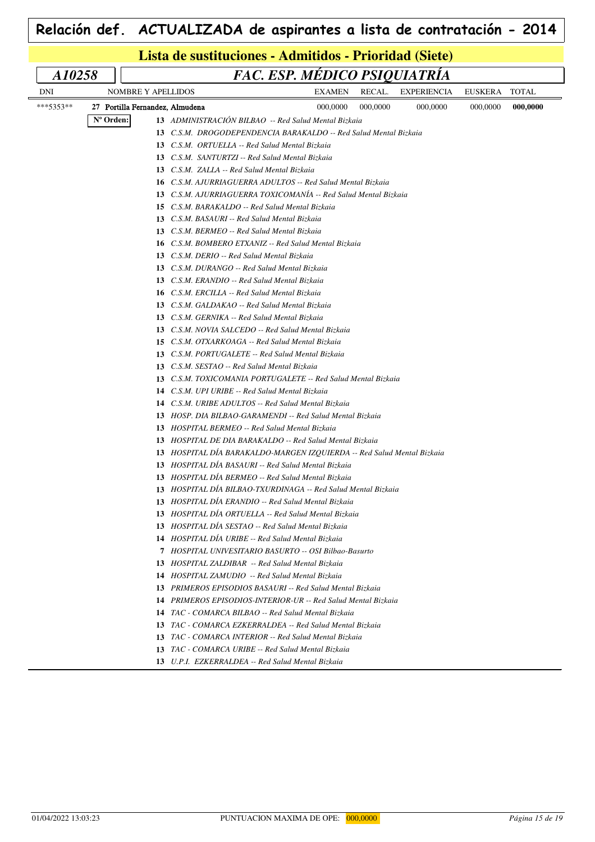|           |           |                                 | Lista de sustituciones - Admitidos - Prioridad (Siete)                 |                              |               |          |                    |                |              |
|-----------|-----------|---------------------------------|------------------------------------------------------------------------|------------------------------|---------------|----------|--------------------|----------------|--------------|
| A10258    |           |                                 |                                                                        | FAC. ESP. MÉDICO PSIQUIATRÍA |               |          |                    |                |              |
| DNI       |           | NOMBRE Y APELLIDOS              |                                                                        |                              | <b>EXAMEN</b> | RECAL.   | <b>EXPERIENCIA</b> | <b>EUSKERA</b> | <b>TOTAL</b> |
| ***5353** |           | 27 Portilla Fernandez, Almudena |                                                                        |                              | 000,0000      | 000,0000 | 000,0000           | 000,0000       | 000,0000     |
|           | N° Orden: |                                 | 13 ADMINISTRACIÓN BILBAO -- Red Salud Mental Bizkaia                   |                              |               |          |                    |                |              |
|           |           |                                 | 13 C.S.M. DROGODEPENDENCIA BARAKALDO -- Red Salud Mental Bizkaia       |                              |               |          |                    |                |              |
|           |           |                                 | 13 C.S.M. ORTUELLA -- Red Salud Mental Bizkaia                         |                              |               |          |                    |                |              |
|           |           |                                 | 13 C.S.M. SANTURTZI -- Red Salud Mental Bizkaia                        |                              |               |          |                    |                |              |
|           |           |                                 | 13 C.S.M. ZALLA -- Red Salud Mental Bizkaia                            |                              |               |          |                    |                |              |
|           |           |                                 | 16 C.S.M. AJURRIAGUERRA ADULTOS -- Red Salud Mental Bizkaia            |                              |               |          |                    |                |              |
|           |           |                                 | 13 C.S.M. AJURRIAGUERRA TOXICOMANIA -- Red Salud Mental Bizkaia        |                              |               |          |                    |                |              |
|           |           |                                 | 15 C.S.M. BARAKALDO -- Red Salud Mental Bizkaia                        |                              |               |          |                    |                |              |
|           |           |                                 | 13 C.S.M. BASAURI -- Red Salud Mental Bizkaia                          |                              |               |          |                    |                |              |
|           |           | 13                              | C.S.M. BERMEO -- Red Salud Mental Bizkaia                              |                              |               |          |                    |                |              |
|           |           | 16                              | C.S.M. BOMBERO ETXANIZ -- Red Salud Mental Bizkaia                     |                              |               |          |                    |                |              |
|           |           | 13                              | C.S.M. DERIO -- Red Salud Mental Bizkaia                               |                              |               |          |                    |                |              |
|           |           |                                 | 13 C.S.M. DURANGO -- Red Salud Mental Bizkaia                          |                              |               |          |                    |                |              |
|           |           |                                 | 13 C.S.M. ERANDIO -- Red Salud Mental Bizkaia                          |                              |               |          |                    |                |              |
|           |           | 16                              | C.S.M. ERCILLA -- Red Salud Mental Bizkaia                             |                              |               |          |                    |                |              |
|           |           | 13                              | C.S.M. GALDAKAO -- Red Salud Mental Bizkaia                            |                              |               |          |                    |                |              |
|           |           | 13                              | C.S.M. GERNIKA -- Red Salud Mental Bizkaia                             |                              |               |          |                    |                |              |
|           |           | 13                              | C.S.M. NOVIA SALCEDO -- Red Salud Mental Bizkaia                       |                              |               |          |                    |                |              |
|           |           | 15                              | C.S.M. OTXARKOAGA -- Red Salud Mental Bizkaia                          |                              |               |          |                    |                |              |
|           |           | 13                              | C.S.M. PORTUGALETE -- Red Salud Mental Bizkaia                         |                              |               |          |                    |                |              |
|           |           | 13                              | C.S.M. SESTAO -- Red Salud Mental Bizkaia                              |                              |               |          |                    |                |              |
|           |           | 13                              | C.S.M. TOXICOMANIA PORTUGALETE -- Red Salud Mental Bizkaia             |                              |               |          |                    |                |              |
|           |           | 14                              | C.S.M. UPI URIBE -- Red Salud Mental Bizkaia                           |                              |               |          |                    |                |              |
|           |           | 14                              | C.S.M. URIBE ADULTOS -- Red Salud Mental Bizkaia                       |                              |               |          |                    |                |              |
|           |           |                                 | 13 HOSP. DIA BILBAO-GARAMENDI -- Red Salud Mental Bizkaia              |                              |               |          |                    |                |              |
|           |           |                                 | 13 HOSPITAL BERMEO -- Red Salud Mental Bizkaia                         |                              |               |          |                    |                |              |
|           |           |                                 | 13 HOSPITAL DE DIA BARAKALDO -- Red Salud Mental Bizkaia               |                              |               |          |                    |                |              |
|           |           |                                 | 13 HOSPITAL DIA BARAKALDO-MARGEN IZQUIERDA -- Red Salud Mental Bizkaia |                              |               |          |                    |                |              |
|           |           |                                 | 13 HOSPITAL DIA BASAURI -- Red Salud Mental Bizkaia                    |                              |               |          |                    |                |              |
|           |           |                                 | 13 HOSPITAL DÍA BERMEO -- Red Salud Mental Bizkaia                     |                              |               |          |                    |                |              |
|           |           |                                 | 13 HOSPITAL DIA BILBAO-TXURDINAGA -- Red Salud Mental Bizkaia          |                              |               |          |                    |                |              |
|           |           |                                 | 13 HOSPITAL DÍA ERANDIO -- Red Salud Mental Bizkaia                    |                              |               |          |                    |                |              |
|           |           |                                 | 13 HOSPITAL DÍA ORTUELLA -- Red Salud Mental Bizkaia                   |                              |               |          |                    |                |              |
|           |           |                                 | 13 HOSPITAL DÍA SESTAO -- Red Salud Mental Bizkaia                     |                              |               |          |                    |                |              |
|           |           |                                 | 14 HOSPITAL DÍA URIBE -- Red Salud Mental Bizkaia                      |                              |               |          |                    |                |              |
|           |           |                                 | 7 HOSPITAL UNIVESITARIO BASURTO -- OSI Bilbao-Basurto                  |                              |               |          |                    |                |              |
|           |           |                                 | 13 HOSPITAL ZALDIBAR -- Red Salud Mental Bizkaia                       |                              |               |          |                    |                |              |
|           |           |                                 | <b>14</b> HOSPITAL ZAMUDIO -- Red Salud Mental Bizkaia                 |                              |               |          |                    |                |              |
|           |           |                                 | <b>13</b> PRIMEROS EPISODIOS BASAURI -- Red Salud Mental Bizkaia       |                              |               |          |                    |                |              |
|           |           |                                 | 14 PRIMEROS EPISODIOS-INTERIOR-UR -- Red Salud Mental Bizkaia          |                              |               |          |                    |                |              |
|           |           |                                 | 14 TAC - COMARCA BILBAO -- Red Salud Mental Bizkaia                    |                              |               |          |                    |                |              |
|           |           |                                 | 13 TAC - COMARCA EZKERRALDEA -- Red Salud Mental Bizkaia               |                              |               |          |                    |                |              |
|           |           |                                 | 13 TAC - COMARCA INTERIOR -- Red Salud Mental Bizkaia                  |                              |               |          |                    |                |              |
|           |           |                                 | 13 TAC - COMARCA URIBE -- Red Salud Mental Bizkaia                     |                              |               |          |                    |                |              |
|           |           |                                 | 13 U.P.I. EZKERRALDEA -- Red Salud Mental Bizkaia                      |                              |               |          |                    |                |              |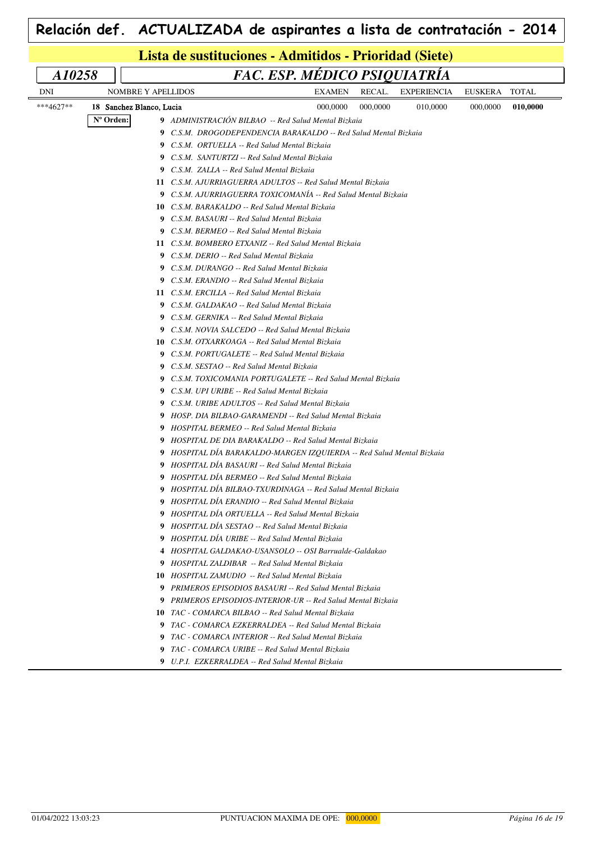|            |           | Lista de sustituciones - Admitidos - Prioridad (Siete)                                             |                              |          |                    |          |              |
|------------|-----------|----------------------------------------------------------------------------------------------------|------------------------------|----------|--------------------|----------|--------------|
|            |           |                                                                                                    |                              |          |                    |          |              |
| A10258     |           |                                                                                                    | FAC. ESP. MÉDICO PSIQUIATRÍA |          |                    |          |              |
| <b>DNI</b> |           | <b>NOMBRE Y APELLIDOS</b>                                                                          | <b>EXAMEN</b>                | RECAL.   | <b>EXPERIENCIA</b> | EUSKERA  | <b>TOTAL</b> |
| ***4627**  |           | 18 Sanchez Blanco, Lucia                                                                           | 000,0000                     | 000,0000 | 010,0000           | 000,0000 | 010,0000     |
|            | N° Orden: | 9 ADMINISTRACIÓN BILBAO -- Red Salud Mental Bizkaia                                                |                              |          |                    |          |              |
|            |           | 9 C.S.M. DROGODEPENDENCIA BARAKALDO -- Red Salud Mental Bizkaia                                    |                              |          |                    |          |              |
|            |           | 9 C.S.M. ORTUELLA -- Red Salud Mental Bizkaia                                                      |                              |          |                    |          |              |
|            |           | 9 C.S.M. SANTURTZI -- Red Salud Mental Bizkaia                                                     |                              |          |                    |          |              |
|            |           | 9 C.S.M. ZALLA -- Red Salud Mental Bizkaia                                                         |                              |          |                    |          |              |
|            |           | 11 C.S.M. AJURRIAGUERRA ADULTOS -- Red Salud Mental Bizkaia                                        |                              |          |                    |          |              |
|            |           | 9 C.S.M. AJURRIAGUERRA TOXICOMANÍA -- Red Salud Mental Bizkaia                                     |                              |          |                    |          |              |
|            |           | 10 C.S.M. BARAKALDO -- Red Salud Mental Bizkaia                                                    |                              |          |                    |          |              |
|            |           | 9 C.S.M. BASAURI -- Red Salud Mental Bizkaia                                                       |                              |          |                    |          |              |
|            |           | <b>9</b> C.S.M. BERMEO -- Red Salud Mental Bizkaia                                                 |                              |          |                    |          |              |
|            |           | 11 C.S.M. BOMBERO ETXANIZ -- Red Salud Mental Bizkaia                                              |                              |          |                    |          |              |
|            |           | 9 C.S.M. DERIO -- Red Salud Mental Bizkaia                                                         |                              |          |                    |          |              |
|            |           | 9 C.S.M. DURANGO -- Red Salud Mental Bizkaia                                                       |                              |          |                    |          |              |
|            |           | 9 C.S.M. ERANDIO -- Red Salud Mental Bizkaia<br>11 C.S.M. ERCILLA -- Red Salud Mental Bizkaia      |                              |          |                    |          |              |
|            |           |                                                                                                    |                              |          |                    |          |              |
|            |           | 9 C.S.M. GALDAKAO -- Red Salud Mental Bizkaia                                                      |                              |          |                    |          |              |
|            |           | 9 C.S.M. GERNIKA -- Red Salud Mental Bizkaia<br>9 C.S.M. NOVIA SALCEDO -- Red Salud Mental Bizkaia |                              |          |                    |          |              |
|            |           | <b>10</b> C.S.M. OTXARKOAGA -- Red Salud Mental Bizkaia                                            |                              |          |                    |          |              |
|            |           | 9 C.S.M. PORTUGALETE -- Red Salud Mental Bizkaia                                                   |                              |          |                    |          |              |
|            |           | 9 C.S.M. SESTAO -- Red Salud Mental Bizkaia                                                        |                              |          |                    |          |              |
|            |           | 9 C.S.M. TOXICOMANIA PORTUGALETE -- Red Salud Mental Bizkaia                                       |                              |          |                    |          |              |
|            |           | 9 C.S.M. UPI URIBE -- Red Salud Mental Bizkaia                                                     |                              |          |                    |          |              |
|            |           | 9 C.S.M. URIBE ADULTOS -- Red Salud Mental Bizkaia                                                 |                              |          |                    |          |              |
|            |           | 9 HOSP. DIA BILBAO-GARAMENDI -- Red Salud Mental Bizkaia                                           |                              |          |                    |          |              |
|            |           | 9 HOSPITAL BERMEO -- Red Salud Mental Bizkaia                                                      |                              |          |                    |          |              |
|            |           | 9 HOSPITAL DE DIA BARAKALDO -- Red Salud Mental Bizkaia                                            |                              |          |                    |          |              |
|            |           | 9 HOSPITAL DIA BARAKALDO-MARGEN IZQUIERDA -- Red Salud Mental Bizkaia                              |                              |          |                    |          |              |
|            |           | 9 HOSPITAL DÍA BASAURI -- Red Salud Mental Bizkaia                                                 |                              |          |                    |          |              |
|            |           | 9 HOSPITAL DÍA BERMEO -- Red Salud Mental Bizkaia                                                  |                              |          |                    |          |              |
|            |           | 9 HOSPITAL DIA BILBAO-TXURDINAGA -- Red Salud Mental Bizkaia                                       |                              |          |                    |          |              |
|            |           | 9 HOSPITAL DIA ERANDIO -- Red Salud Mental Bizkaia                                                 |                              |          |                    |          |              |
|            |           | 9 HOSPITAL DÍA ORTUELLA -- Red Salud Mental Bizkaia                                                |                              |          |                    |          |              |
|            |           | 9 HOSPITAL DÍA SESTAO -- Red Salud Mental Bizkaia                                                  |                              |          |                    |          |              |
|            |           | 9 HOSPITAL DÍA URIBE -- Red Salud Mental Bizkaia                                                   |                              |          |                    |          |              |
|            |           | 4 HOSPITAL GALDAKAO-USANSOLO -- OSI Barrualde-Galdakao                                             |                              |          |                    |          |              |
|            |           | 9 HOSPITAL ZALDIBAR -- Red Salud Mental Bizkaia                                                    |                              |          |                    |          |              |
|            |           | <b>10</b> HOSPITAL ZAMUDIO -- Red Salud Mental Bizkaia                                             |                              |          |                    |          |              |
|            |           | <b>9</b> PRIMEROS EPISODIOS BASAURI -- Red Salud Mental Bizkaia                                    |                              |          |                    |          |              |
|            |           | <b>9</b> PRIMEROS EPISODIOS-INTERIOR-UR -- Red Salud Mental Bizkaia                                |                              |          |                    |          |              |
|            |           | 10 TAC - COMARCA BILBAO -- Red Salud Mental Bizkaia                                                |                              |          |                    |          |              |
|            |           | 9 TAC - COMARCA EZKERRALDEA -- Red Salud Mental Bizkaia                                            |                              |          |                    |          |              |
|            |           | 9 TAC - COMARCA INTERIOR -- Red Salud Mental Bizkaia                                               |                              |          |                    |          |              |
|            |           | 9 TAC - COMARCA URIBE -- Red Salud Mental Bizkaia                                                  |                              |          |                    |          |              |
|            |           | 9 U.P.I. EZKERRALDEA -- Red Salud Mental Bizkaia                                                   |                              |          |                    |          |              |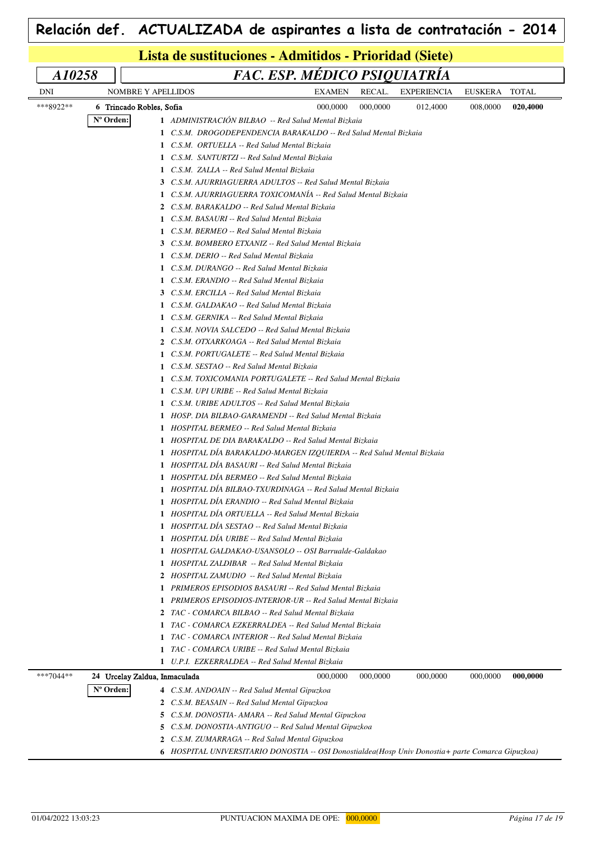| Lista de sustituciones - Admitidos - Prioridad (Siete)<br>FAC. ESP. MÉDICO PSIQUIATRÍA<br>A10258<br>RECAL.<br>EUSKERA<br><b>DNI</b><br>NOMBRE Y APELLIDOS<br><b>EXAMEN</b><br><b>EXPERIENCIA</b><br>***8922**<br>000,0000<br>000,0000<br>012,4000<br>008,0000<br>6 Trincado Robles, Sofia<br>Nº Orden:<br>1 ADMINISTRACIÓN BILBAO -- Red Salud Mental Bizkaia<br>1 C.S.M. DROGODEPENDENCIA BARAKALDO -- Red Salud Mental Bizkaia<br>1 C.S.M. ORTUELLA -- Red Salud Mental Bizkaia<br>1 C.S.M. SANTURTZI -- Red Salud Mental Bizkaia<br>1 C.S.M. ZALLA -- Red Salud Mental Bizkaia<br>3 C.S.M. AJURRIAGUERRA ADULTOS -- Red Salud Mental Bizkaia<br>1 C.S.M. AJURRIAGUERRA TOXICOMANÍA -- Red Salud Mental Bizkaia<br>2 C.S.M. BARAKALDO -- Red Salud Mental Bizkaia<br>1 C.S.M. BASAURI -- Red Salud Mental Bizkaia<br>1 C.S.M. BERMEO -- Red Salud Mental Bizkaia<br>3 C.S.M. BOMBERO ETXANIZ -- Red Salud Mental Bizkaia<br>1 C.S.M. DERIO -- Red Salud Mental Bizkaia<br>1 C.S.M. DURANGO -- Red Salud Mental Bizkaia<br>1 C.S.M. ERANDIO -- Red Salud Mental Bizkaia<br>3 C.S.M. ERCILLA -- Red Salud Mental Bizkaia<br>1 C.S.M. GALDAKAO -- Red Salud Mental Bizkaia<br>1 C.S.M. GERNIKA -- Red Salud Mental Bizkaia<br>1 C.S.M. NOVIA SALCEDO -- Red Salud Mental Bizkaia<br>2 C.S.M. OTXARKOAGA -- Red Salud Mental Bizkaia<br>1 C.S.M. PORTUGALETE -- Red Salud Mental Bizkaia<br>1 C.S.M. SESTAO -- Red Salud Mental Bizkaia<br>1 C.S.M. TOXICOMANIA PORTUGALETE -- Red Salud Mental Bizkaia<br>1 C.S.M. UPI URIBE -- Red Salud Mental Bizkaia<br>C.S.M. URIBE ADULTOS -- Red Salud Mental Bizkaia<br>1<br>1 HOSP. DIA BILBAO-GARAMENDI -- Red Salud Mental Bizkaia |              |  |  |  |  |  |  |  |  |  |  |  |
|------------------------------------------------------------------------------------------------------------------------------------------------------------------------------------------------------------------------------------------------------------------------------------------------------------------------------------------------------------------------------------------------------------------------------------------------------------------------------------------------------------------------------------------------------------------------------------------------------------------------------------------------------------------------------------------------------------------------------------------------------------------------------------------------------------------------------------------------------------------------------------------------------------------------------------------------------------------------------------------------------------------------------------------------------------------------------------------------------------------------------------------------------------------------------------------------------------------------------------------------------------------------------------------------------------------------------------------------------------------------------------------------------------------------------------------------------------------------------------------------------------------------------------------------------------------------------------------------------------------------------------------------------------------------------|--------------|--|--|--|--|--|--|--|--|--|--|--|
|                                                                                                                                                                                                                                                                                                                                                                                                                                                                                                                                                                                                                                                                                                                                                                                                                                                                                                                                                                                                                                                                                                                                                                                                                                                                                                                                                                                                                                                                                                                                                                                                                                                                              |              |  |  |  |  |  |  |  |  |  |  |  |
|                                                                                                                                                                                                                                                                                                                                                                                                                                                                                                                                                                                                                                                                                                                                                                                                                                                                                                                                                                                                                                                                                                                                                                                                                                                                                                                                                                                                                                                                                                                                                                                                                                                                              | <b>TOTAL</b> |  |  |  |  |  |  |  |  |  |  |  |
|                                                                                                                                                                                                                                                                                                                                                                                                                                                                                                                                                                                                                                                                                                                                                                                                                                                                                                                                                                                                                                                                                                                                                                                                                                                                                                                                                                                                                                                                                                                                                                                                                                                                              | 020,4000     |  |  |  |  |  |  |  |  |  |  |  |
| 1 HOSPITAL BERMEO -- Red Salud Mental Bizkaia<br>1 HOSPITAL DE DIA BARAKALDO -- Red Salud Mental Bizkaia<br>1 HOSPITAL DIA BARAKALDO-MARGEN IZQUIERDA -- Red Salud Mental Bizkaia<br>1 HOSPITAL DÍA BASAURI -- Red Salud Mental Bizkaia<br>1 HOSPITAL DÍA BERMEO -- Red Salud Mental Bizkaia<br>1 HOSPITAL DÍA BILBAO-TXURDINAGA -- Red Salud Mental Bizkaia<br>1 HOSPITAL DÍA ERANDIO -- Red Salud Mental Bizkaia<br>1 HOSPITAL DÍA ORTUELLA -- Red Salud Mental Bizkaia<br>1 HOSPITAL DÍA SESTAO -- Red Salud Mental Bizkaia<br>1 HOSPITAL DÍA URIBE -- Red Salud Mental Bizkaia<br>1 HOSPITAL GALDAKAO-USANSOLO -- OSI Barrualde-Galdakao<br>1 HOSPITAL ZALDIBAR -- Red Salud Mental Bizkaia<br>2 HOSPITAL ZAMUDIO -- Red Salud Mental Bizkaia<br>1 PRIMEROS EPISODIOS BASAURI -- Red Salud Mental Bizkaia<br>1 PRIMEROS EPISODIOS-INTERIOR-UR -- Red Salud Mental Bizkaia<br>2 TAC - COMARCA BILBAO -- Red Salud Mental Bizkaia<br>1 TAC - COMARCA EZKERRALDEA -- Red Salud Mental Bizkaia<br>1 TAC - COMARCA INTERIOR -- Red Salud Mental Bizkaia                                                                                                                                                                                                                                                                                                                                                                                                                                                                                                                                                                                                                       |              |  |  |  |  |  |  |  |  |  |  |  |
| 1 TAC - COMARCA URIBE -- Red Salud Mental Bizkaia<br>1 U.P.I. EZKERRALDEA -- Red Salud Mental Bizkaia                                                                                                                                                                                                                                                                                                                                                                                                                                                                                                                                                                                                                                                                                                                                                                                                                                                                                                                                                                                                                                                                                                                                                                                                                                                                                                                                                                                                                                                                                                                                                                        |              |  |  |  |  |  |  |  |  |  |  |  |
| ***7044**<br>000,0000<br>24 Urcelay Zaldua, Inmaculada<br>000,0000<br>000,0000<br>000,0000                                                                                                                                                                                                                                                                                                                                                                                                                                                                                                                                                                                                                                                                                                                                                                                                                                                                                                                                                                                                                                                                                                                                                                                                                                                                                                                                                                                                                                                                                                                                                                                   | 000,0000     |  |  |  |  |  |  |  |  |  |  |  |
| N° Orden:<br>4 C.S.M. ANDOAIN -- Red Salud Mental Gipuzkoa<br>2 C.S.M. BEASAIN -- Red Salud Mental Gipuzkoa<br><b>5</b> C.S.M. DONOSTIA- AMARA -- Red Salud Mental Gipuzkoa<br>5 C.S.M. DONOSTIA-ANTIGUO -- Red Salud Mental Gipuzkoa<br>2 C.S.M. ZUMARRAGA -- Red Salud Mental Gipuzkoa                                                                                                                                                                                                                                                                                                                                                                                                                                                                                                                                                                                                                                                                                                                                                                                                                                                                                                                                                                                                                                                                                                                                                                                                                                                                                                                                                                                     |              |  |  |  |  |  |  |  |  |  |  |  |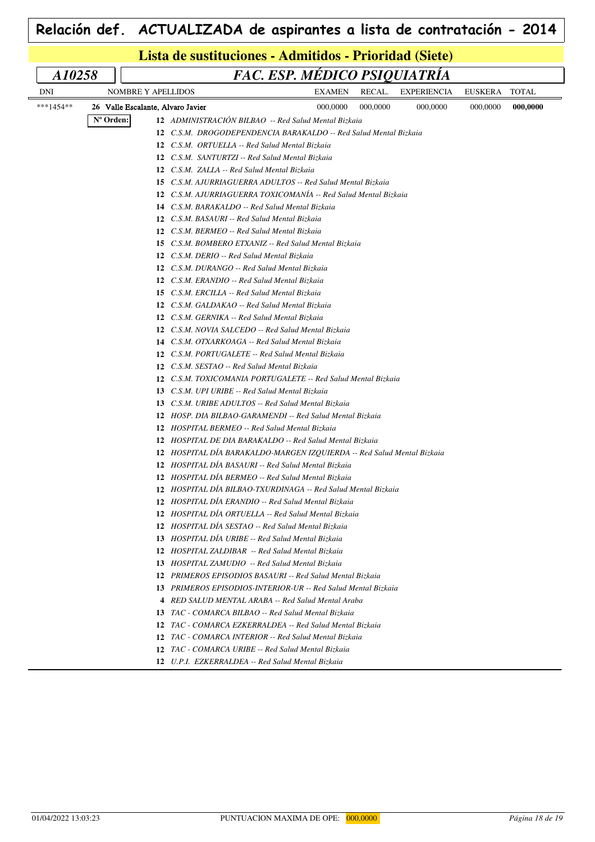|            |                                   | Lista de sustituciones - Admitidos - Prioridad (Siete)                 |                              |          |                    |          |              |
|------------|-----------------------------------|------------------------------------------------------------------------|------------------------------|----------|--------------------|----------|--------------|
| A10258     |                                   |                                                                        | FAC. ESP. MÉDICO PSIQUIATRÍA |          |                    |          |              |
| <b>DNI</b> | <b>NOMBRE Y APELLIDOS</b>         |                                                                        | <b>EXAMEN</b>                | RECAL.   | <b>EXPERIENCIA</b> | EUSKERA  | <b>TOTAL</b> |
| ***1454**  | 26 Valle Escalante, Alvaro Javier |                                                                        | 000,0000                     | 000,0000 | 000,0000           | 000,0000 | 000,0000     |
|            | N° Orden:                         | 12 ADMINISTRACIÓN BILBAO -- Red Salud Mental Bizkaia                   |                              |          |                    |          |              |
|            |                                   | 12 C.S.M. DROGODEPENDENCIA BARAKALDO -- Red Salud Mental Bizkaia       |                              |          |                    |          |              |
|            |                                   | 12 C.S.M. ORTUELLA -- Red Salud Mental Bizkaia                         |                              |          |                    |          |              |
|            |                                   | 12 C.S.M. SANTURTZI -- Red Salud Mental Bizkaia                        |                              |          |                    |          |              |
|            |                                   | 12 C.S.M. ZALLA -- Red Salud Mental Bizkaia                            |                              |          |                    |          |              |
|            |                                   | C.S.M. AJURRIAGUERRA ADULTOS -- Red Salud Mental Bizkaia<br>15         |                              |          |                    |          |              |
|            |                                   | 12 C.S.M. AJURRIAGUERRA TOXICOMANIA -- Red Salud Mental Bizkaia        |                              |          |                    |          |              |
|            |                                   | 14 C.S.M. BARAKALDO -- Red Salud Mental Bizkaia                        |                              |          |                    |          |              |
|            |                                   | <b>12</b> C.S.M. BASAURI -- Red Salud Mental Bizkaia                   |                              |          |                    |          |              |
|            |                                   | 12 C.S.M. BERMEO -- Red Salud Mental Bizkaia                           |                              |          |                    |          |              |
|            |                                   | C.S.M. BOMBERO ETXANIZ -- Red Salud Mental Bizkaia<br>15               |                              |          |                    |          |              |
|            |                                   | C.S.M. DERIO -- Red Salud Mental Bizkaia<br>12                         |                              |          |                    |          |              |
|            |                                   | C.S.M. DURANGO -- Red Salud Mental Bizkaia<br>12                       |                              |          |                    |          |              |
|            |                                   | C.S.M. ERANDIO -- Red Salud Mental Bizkaia<br>12                       |                              |          |                    |          |              |
|            |                                   | 15<br>C.S.M. ERCILLA -- Red Salud Mental Bizkaia                       |                              |          |                    |          |              |
|            |                                   | 12<br>C.S.M. GALDAKAO -- Red Salud Mental Bizkaia                      |                              |          |                    |          |              |
|            |                                   | 12<br>C.S.M. GERNIKA -- Red Salud Mental Bizkaia                       |                              |          |                    |          |              |
|            |                                   | 12 C.S.M. NOVIA SALCEDO -- Red Salud Mental Bizkaia                    |                              |          |                    |          |              |
|            |                                   | C.S.M. OTXARKOAGA -- Red Salud Mental Bizkaia<br>14                    |                              |          |                    |          |              |
|            |                                   | C.S.M. PORTUGALETE -- Red Salud Mental Bizkaia<br>12                   |                              |          |                    |          |              |
|            |                                   | 12<br>C.S.M. SESTAO -- Red Salud Mental Bizkaia                        |                              |          |                    |          |              |
|            |                                   | C.S.M. TOXICOMANIA PORTUGALETE -- Red Salud Mental Bizkaia<br>12       |                              |          |                    |          |              |
|            |                                   | C.S.M. UPI URIBE -- Red Salud Mental Bizkaia<br>13                     |                              |          |                    |          |              |
|            |                                   | C.S.M. URIBE ADULTOS -- Red Salud Mental Bizkaia<br>13                 |                              |          |                    |          |              |
|            |                                   | 12 HOSP. DIA BILBAO-GARAMENDI -- Red Salud Mental Bizkaia              |                              |          |                    |          |              |
|            |                                   | <b>12</b> HOSPITAL BERMEO -- Red Salud Mental Bizkaia                  |                              |          |                    |          |              |
|            |                                   | 12 HOSPITAL DE DIA BARAKALDO -- Red Salud Mental Bizkaia               |                              |          |                    |          |              |
|            |                                   | 12 HOSPITAL DIA BARAKALDO-MARGEN IZQUIERDA -- Red Salud Mental Bizkaia |                              |          |                    |          |              |
|            |                                   | 12 HOSPITAL DIA BASAURI -- Red Salud Mental Bizkaia                    |                              |          |                    |          |              |
|            |                                   | 12 HOSPITAL DÍA BERMEO -- Red Salud Mental Bizkaia                     |                              |          |                    |          |              |
|            |                                   | 12 HOSPITAL DIA BILBAO-TXURDINAGA -- Red Salud Mental Bizkaia          |                              |          |                    |          |              |
|            |                                   | 12 HOSPITAL DIA ERANDIO -- Red Salud Mental Bizkaia                    |                              |          |                    |          |              |
|            |                                   | 12 HOSPITAL DÍA ORTUELLA -- Red Salud Mental Bizkaia                   |                              |          |                    |          |              |
|            |                                   | HOSPITAL DÍA SESTAO -- Red Salud Mental Bizkaia<br>12                  |                              |          |                    |          |              |
|            |                                   | HOSPITAL DÍA URIBE -- Red Salud Mental Bizkaia<br>13                   |                              |          |                    |          |              |
|            |                                   | HOSPITAL ZALDIBAR -- Red Salud Mental Bizkaia<br>12                    |                              |          |                    |          |              |
|            |                                   | 13<br>HOSPITAL ZAMUDIO -- Red Salud Mental Bizkaia                     |                              |          |                    |          |              |
|            |                                   | 12 PRIMEROS EPISODIOS BASAURI -- Red Salud Mental Bizkaia              |                              |          |                    |          |              |
|            |                                   | 13 PRIMEROS EPISODIOS-INTERIOR-UR -- Red Salud Mental Bizkaia          |                              |          |                    |          |              |
|            |                                   | RED SALUD MENTAL ARABA -- Red Salud Mental Araba<br>4                  |                              |          |                    |          |              |
|            |                                   | 13<br>TAC - COMARCA BILBAO -- Red Salud Mental Bizkaia                 |                              |          |                    |          |              |
|            |                                   | TAC - COMARCA EZKERRALDEA -- Red Salud Mental Bizkaia<br>12            |                              |          |                    |          |              |
|            |                                   | TAC - COMARCA INTERIOR -- Red Salud Mental Bizkaia<br>12               |                              |          |                    |          |              |
|            |                                   | 12 TAC - COMARCA URIBE -- Red Salud Mental Bizkaia                     |                              |          |                    |          |              |
|            |                                   |                                                                        |                              |          |                    |          |              |

*U.P.I. EZKERRALDEA -- Red Salud Mental Bizkaia*